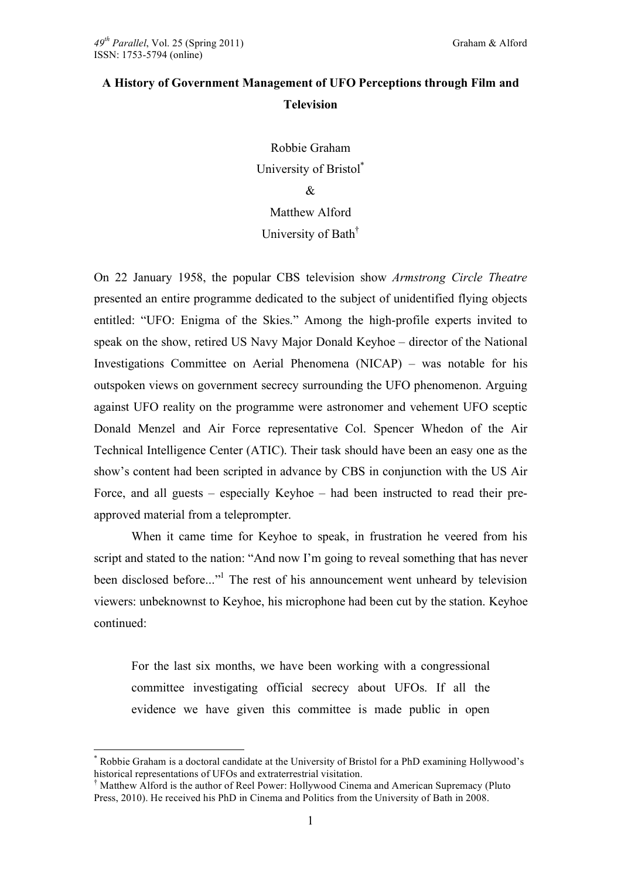# **A History of Government Management of UFO Perceptions through Film and Television**

Robbie Graham University of Bristol\*  $\mathcal{R}_{\mathcal{L}}$ Matthew Alford

## University of Bath†

On 22 January 1958, the popular CBS television show *Armstrong Circle Theatre* presented an entire programme dedicated to the subject of unidentified flying objects entitled: "UFO: Enigma of the Skies." Among the high-profile experts invited to speak on the show, retired US Navy Major Donald Keyhoe – director of the National Investigations Committee on Aerial Phenomena (NICAP) – was notable for his outspoken views on government secrecy surrounding the UFO phenomenon. Arguing against UFO reality on the programme were astronomer and vehement UFO sceptic Donald Menzel and Air Force representative Col. Spencer Whedon of the Air Technical Intelligence Center (ATIC). Their task should have been an easy one as the show's content had been scripted in advance by CBS in conjunction with the US Air Force, and all guests – especially Keyhoe – had been instructed to read their preapproved material from a teleprompter.

When it came time for Keyhoe to speak, in frustration he veered from his script and stated to the nation: "And now I'm going to reveal something that has never been disclosed before..."<sup>1</sup> The rest of his announcement went unheard by television viewers: unbeknownst to Keyhoe, his microphone had been cut by the station. Keyhoe continued:

For the last six months, we have been working with a congressional committee investigating official secrecy about UFOs. If all the evidence we have given this committee is made public in open

 <sup>\*</sup> Robbie Graham is a doctoral candidate at the University of Bristol for a PhD examining Hollywood's historical representations of UFOs and extraterrestrial visitation.

<sup>&</sup>lt;sup>†</sup> Matthew Alford is the author of Reel Power: Hollywood Cinema and American Supremacy (Pluto) Press, 2010). He received his PhD in Cinema and Politics from the University of Bath in 2008.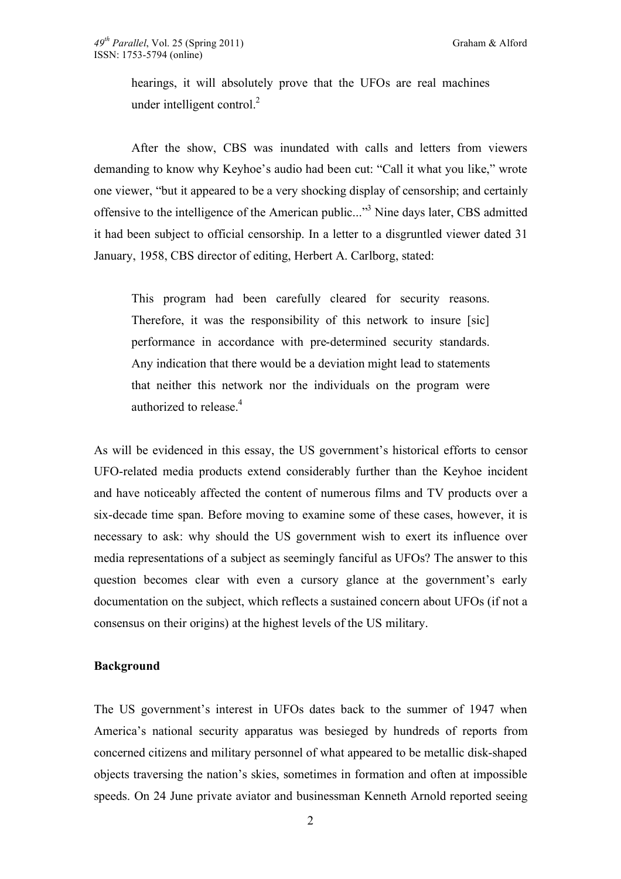hearings, it will absolutely prove that the UFOs are real machines under intelligent control.<sup>2</sup>

After the show, CBS was inundated with calls and letters from viewers demanding to know why Keyhoe's audio had been cut: "Call it what you like," wrote one viewer, "but it appeared to be a very shocking display of censorship; and certainly offensive to the intelligence of the American public..."<sup>3</sup> Nine days later, CBS admitted it had been subject to official censorship. In a letter to a disgruntled viewer dated 31 January, 1958, CBS director of editing, Herbert A. Carlborg, stated:

This program had been carefully cleared for security reasons. Therefore, it was the responsibility of this network to insure [sic] performance in accordance with pre-determined security standards. Any indication that there would be a deviation might lead to statements that neither this network nor the individuals on the program were authorized to release.<sup>4</sup>

As will be evidenced in this essay, the US government's historical efforts to censor UFO-related media products extend considerably further than the Keyhoe incident and have noticeably affected the content of numerous films and TV products over a six-decade time span. Before moving to examine some of these cases, however, it is necessary to ask: why should the US government wish to exert its influence over media representations of a subject as seemingly fanciful as UFOs? The answer to this question becomes clear with even a cursory glance at the government's early documentation on the subject, which reflects a sustained concern about UFOs (if not a consensus on their origins) at the highest levels of the US military.

### **Background**

The US government's interest in UFOs dates back to the summer of 1947 when America's national security apparatus was besieged by hundreds of reports from concerned citizens and military personnel of what appeared to be metallic disk-shaped objects traversing the nation's skies, sometimes in formation and often at impossible speeds. On 24 June private aviator and businessman Kenneth Arnold reported seeing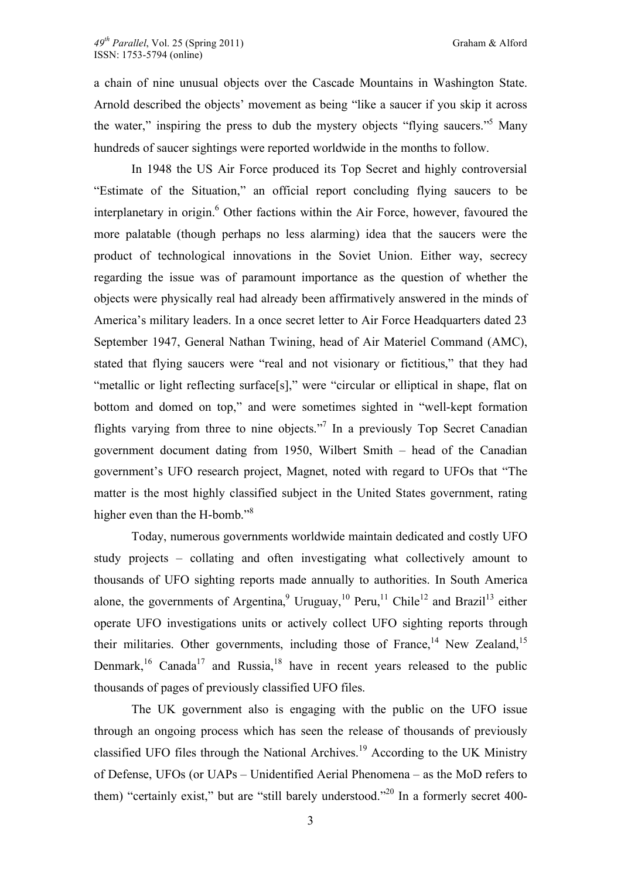a chain of nine unusual objects over the Cascade Mountains in Washington State. Arnold described the objects' movement as being "like a saucer if you skip it across the water," inspiring the press to dub the mystery objects "flying saucers."5 Many hundreds of saucer sightings were reported worldwide in the months to follow.

In 1948 the US Air Force produced its Top Secret and highly controversial "Estimate of the Situation," an official report concluding flying saucers to be interplanetary in origin.<sup>6</sup> Other factions within the Air Force, however, favoured the more palatable (though perhaps no less alarming) idea that the saucers were the product of technological innovations in the Soviet Union. Either way, secrecy regarding the issue was of paramount importance as the question of whether the objects were physically real had already been affirmatively answered in the minds of America's military leaders. In a once secret letter to Air Force Headquarters dated 23 September 1947, General Nathan Twining, head of Air Materiel Command (AMC), stated that flying saucers were "real and not visionary or fictitious," that they had "metallic or light reflecting surface[s]," were "circular or elliptical in shape, flat on bottom and domed on top," and were sometimes sighted in "well-kept formation flights varying from three to nine objects."<sup>7</sup> In a previously Top Secret Canadian government document dating from 1950, Wilbert Smith – head of the Canadian government's UFO research project, Magnet, noted with regard to UFOs that "The matter is the most highly classified subject in the United States government, rating higher even than the H-bomb."<sup>8</sup>

Today, numerous governments worldwide maintain dedicated and costly UFO study projects – collating and often investigating what collectively amount to thousands of UFO sighting reports made annually to authorities. In South America alone, the governments of Argentina,<sup>9</sup> Uruguay,<sup>10</sup> Peru,<sup>11</sup> Chile<sup>12</sup> and Brazil<sup>13</sup> either operate UFO investigations units or actively collect UFO sighting reports through their militaries. Other governments, including those of France,<sup>14</sup> New Zealand,<sup>15</sup> Denmark,<sup>16</sup> Canada<sup>17</sup> and Russia,<sup>18</sup> have in recent years released to the public thousands of pages of previously classified UFO files.

The UK government also is engaging with the public on the UFO issue through an ongoing process which has seen the release of thousands of previously classified UFO files through the National Archives.19 According to the UK Ministry of Defense, UFOs (or UAPs – Unidentified Aerial Phenomena – as the MoD refers to them) "certainly exist," but are "still barely understood."<sup>20</sup> In a formerly secret 400-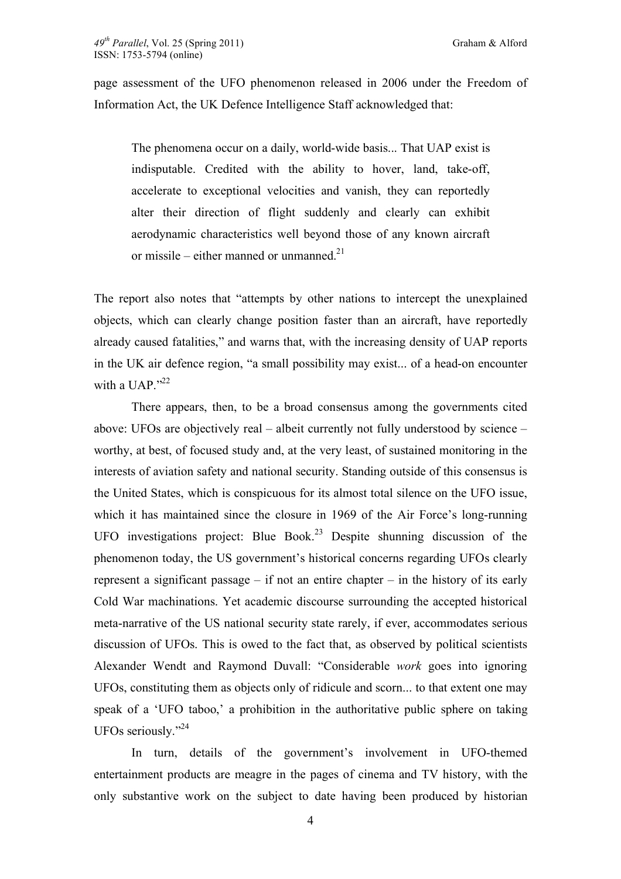page assessment of the UFO phenomenon released in 2006 under the Freedom of Information Act, the UK Defence Intelligence Staff acknowledged that:

The phenomena occur on a daily, world-wide basis... That UAP exist is indisputable. Credited with the ability to hover, land, take-off, accelerate to exceptional velocities and vanish, they can reportedly alter their direction of flight suddenly and clearly can exhibit aerodynamic characteristics well beyond those of any known aircraft or missile – either manned or unmanned. $^{21}$ 

The report also notes that "attempts by other nations to intercept the unexplained objects, which can clearly change position faster than an aircraft, have reportedly already caused fatalities," and warns that, with the increasing density of UAP reports in the UK air defence region, "a small possibility may exist... of a head-on encounter with a UAP $^{1.22}$ 

There appears, then, to be a broad consensus among the governments cited above: UFOs are objectively real – albeit currently not fully understood by science – worthy, at best, of focused study and, at the very least, of sustained monitoring in the interests of aviation safety and national security. Standing outside of this consensus is the United States, which is conspicuous for its almost total silence on the UFO issue, which it has maintained since the closure in 1969 of the Air Force's long-running UFO investigations project: Blue Book.<sup>23</sup> Despite shunning discussion of the phenomenon today, the US government's historical concerns regarding UFOs clearly represent a significant passage – if not an entire chapter – in the history of its early Cold War machinations. Yet academic discourse surrounding the accepted historical meta-narrative of the US national security state rarely, if ever, accommodates serious discussion of UFOs. This is owed to the fact that, as observed by political scientists Alexander Wendt and Raymond Duvall: "Considerable *work* goes into ignoring UFOs, constituting them as objects only of ridicule and scorn... to that extent one may speak of a 'UFO taboo,' a prohibition in the authoritative public sphere on taking UFOs seriously."24

In turn, details of the government's involvement in UFO-themed entertainment products are meagre in the pages of cinema and TV history, with the only substantive work on the subject to date having been produced by historian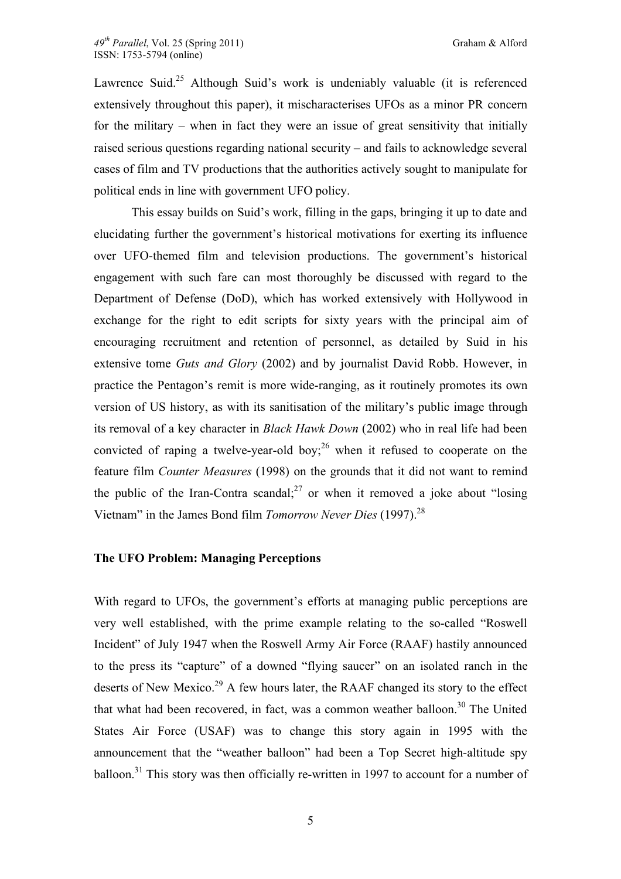Lawrence Suid.<sup>25</sup> Although Suid's work is undeniably valuable (it is referenced extensively throughout this paper), it mischaracterises UFOs as a minor PR concern for the military – when in fact they were an issue of great sensitivity that initially raised serious questions regarding national security – and fails to acknowledge several cases of film and TV productions that the authorities actively sought to manipulate for political ends in line with government UFO policy.

This essay builds on Suid's work, filling in the gaps, bringing it up to date and elucidating further the government's historical motivations for exerting its influence over UFO-themed film and television productions. The government's historical engagement with such fare can most thoroughly be discussed with regard to the Department of Defense (DoD), which has worked extensively with Hollywood in exchange for the right to edit scripts for sixty years with the principal aim of encouraging recruitment and retention of personnel, as detailed by Suid in his extensive tome *Guts and Glory* (2002) and by journalist David Robb. However, in practice the Pentagon's remit is more wide-ranging, as it routinely promotes its own version of US history, as with its sanitisation of the military's public image through its removal of a key character in *Black Hawk Down* (2002) who in real life had been convicted of raping a twelve-year-old boy;  $^{26}$  when it refused to cooperate on the feature film *Counter Measures* (1998) on the grounds that it did not want to remind the public of the Iran-Contra scandal;<sup>27</sup> or when it removed a joke about "losing" Vietnam" in the James Bond film *Tomorrow Never Dies* (1997). 28

## **The UFO Problem: Managing Perceptions**

With regard to UFOs, the government's efforts at managing public perceptions are very well established, with the prime example relating to the so-called "Roswell Incident" of July 1947 when the Roswell Army Air Force (RAAF) hastily announced to the press its "capture" of a downed "flying saucer" on an isolated ranch in the deserts of New Mexico.<sup>29</sup> A few hours later, the RAAF changed its story to the effect that what had been recovered, in fact, was a common weather balloon.<sup>30</sup> The United States Air Force (USAF) was to change this story again in 1995 with the announcement that the "weather balloon" had been a Top Secret high-altitude spy balloon.<sup>31</sup> This story was then officially re-written in 1997 to account for a number of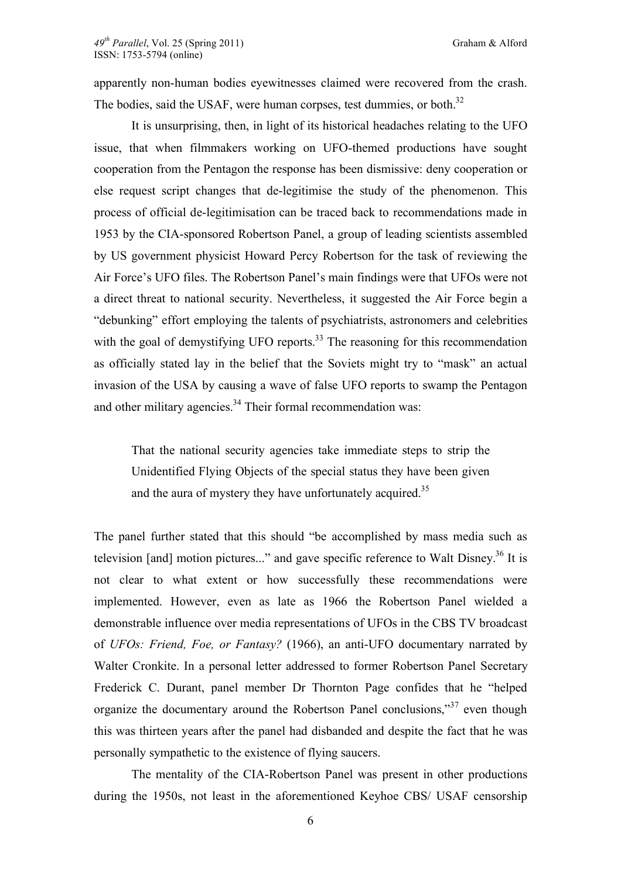apparently non-human bodies eyewitnesses claimed were recovered from the crash. The bodies, said the USAF, were human corpses, test dummies, or both.<sup>32</sup>

It is unsurprising, then, in light of its historical headaches relating to the UFO issue, that when filmmakers working on UFO-themed productions have sought cooperation from the Pentagon the response has been dismissive: deny cooperation or else request script changes that de-legitimise the study of the phenomenon. This process of official de-legitimisation can be traced back to recommendations made in 1953 by the CIA-sponsored Robertson Panel, a group of leading scientists assembled by US government physicist Howard Percy Robertson for the task of reviewing the Air Force's UFO files. The Robertson Panel's main findings were that UFOs were not a direct threat to national security. Nevertheless, it suggested the Air Force begin a "debunking" effort employing the talents of psychiatrists, astronomers and celebrities with the goal of demystifying UFO reports.<sup>33</sup> The reasoning for this recommendation as officially stated lay in the belief that the Soviets might try to "mask" an actual invasion of the USA by causing a wave of false UFO reports to swamp the Pentagon and other military agencies. $34$  Their formal recommendation was:

That the national security agencies take immediate steps to strip the Unidentified Flying Objects of the special status they have been given and the aura of mystery they have unfortunately acquired.<sup>35</sup>

The panel further stated that this should "be accomplished by mass media such as television [and] motion pictures..." and gave specific reference to Walt Disney.<sup>36</sup> It is not clear to what extent or how successfully these recommendations were implemented. However, even as late as 1966 the Robertson Panel wielded a demonstrable influence over media representations of UFOs in the CBS TV broadcast of *UFOs: Friend, Foe, or Fantasy?* (1966), an anti-UFO documentary narrated by Walter Cronkite. In a personal letter addressed to former Robertson Panel Secretary Frederick C. Durant, panel member Dr Thornton Page confides that he "helped organize the documentary around the Robertson Panel conclusions,"<sup>37</sup> even though this was thirteen years after the panel had disbanded and despite the fact that he was personally sympathetic to the existence of flying saucers.

The mentality of the CIA-Robertson Panel was present in other productions during the 1950s, not least in the aforementioned Keyhoe CBS/ USAF censorship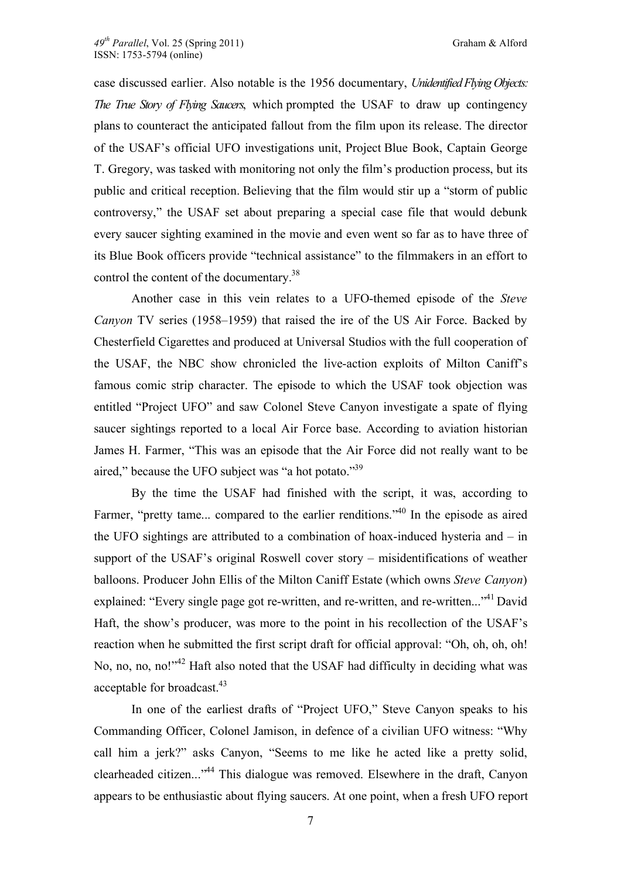case discussed earlier. Also notable is the 1956 documentary, *Unidentified Flying Objects: The True Story of Flying Saucers*, which prompted the USAF to draw up contingency plans to counteract the anticipated fallout from the film upon its release. The director of the USAF's official UFO investigations unit, Project Blue Book, Captain George T. Gregory, was tasked with monitoring not only the film's production process, but its public and critical reception. Believing that the film would stir up a "storm of public controversy," the USAF set about preparing a special case file that would debunk every saucer sighting examined in the movie and even went so far as to have three of its Blue Book officers provide "technical assistance" to the filmmakers in an effort to control the content of the documentary.<sup>38</sup>

Another case in this vein relates to a UFO-themed episode of the *Steve Canyon* TV series (1958–1959) that raised the ire of the US Air Force. Backed by Chesterfield Cigarettes and produced at Universal Studios with the full cooperation of the USAF, the NBC show chronicled the live-action exploits of Milton Caniff's famous comic strip character. The episode to which the USAF took objection was entitled "Project UFO" and saw Colonel Steve Canyon investigate a spate of flying saucer sightings reported to a local Air Force base. According to aviation historian James H. Farmer, "This was an episode that the Air Force did not really want to be aired," because the UFO subject was "a hot potato."<sup>39</sup>

By the time the USAF had finished with the script, it was, according to Farmer, "pretty tame... compared to the earlier renditions."<sup>40</sup> In the episode as aired the UFO sightings are attributed to a combination of hoax-induced hysteria and – in support of the USAF's original Roswell cover story – misidentifications of weather balloons. Producer John Ellis of the Milton Caniff Estate (which owns *Steve Canyon*) explained: "Every single page got re-written, and re-written, and re-written..."<sup>41</sup> David Haft, the show's producer, was more to the point in his recollection of the USAF's reaction when he submitted the first script draft for official approval: "Oh, oh, oh, oh! No, no, no, no!"<sup>42</sup> Haft also noted that the USAF had difficulty in deciding what was acceptable for broadcast.<sup>43</sup>

In one of the earliest drafts of "Project UFO," Steve Canyon speaks to his Commanding Officer, Colonel Jamison, in defence of a civilian UFO witness: "Why call him a jerk?" asks Canyon, "Seems to me like he acted like a pretty solid, clearheaded citizen..."44 This dialogue was removed. Elsewhere in the draft, Canyon appears to be enthusiastic about flying saucers. At one point, when a fresh UFO report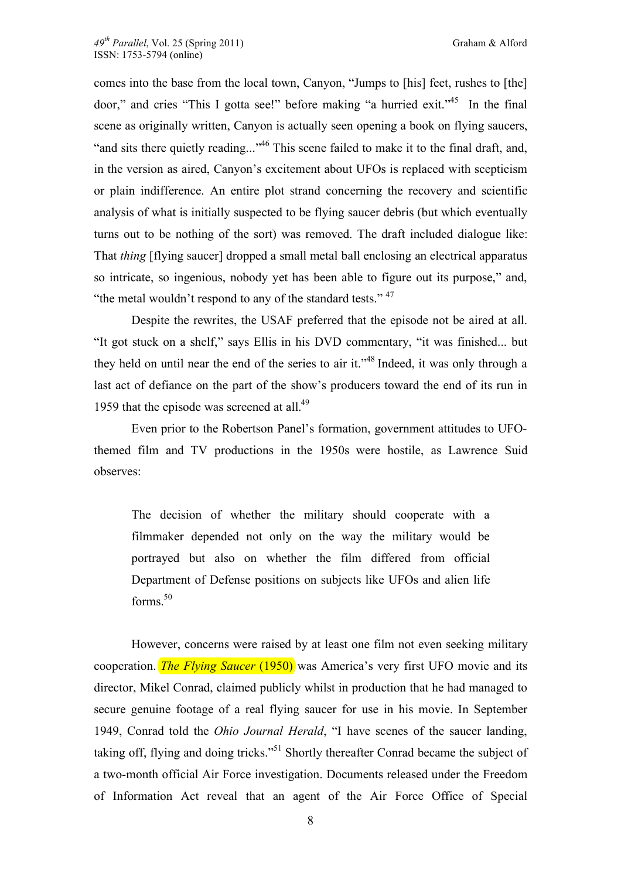comes into the base from the local town, Canyon, "Jumps to [his] feet, rushes to [the] door," and cries "This I gotta see!" before making "a hurried exit."45 In the final scene as originally written, Canyon is actually seen opening a book on flying saucers, "and sits there quietly reading..."<sup>46</sup> This scene failed to make it to the final draft, and, in the version as aired, Canyon's excitement about UFOs is replaced with scepticism or plain indifference. An entire plot strand concerning the recovery and scientific analysis of what is initially suspected to be flying saucer debris (but which eventually turns out to be nothing of the sort) was removed. The draft included dialogue like: That *thing* [flying saucer] dropped a small metal ball enclosing an electrical apparatus so intricate, so ingenious, nobody yet has been able to figure out its purpose," and, "the metal wouldn't respond to any of the standard tests."  $47$ 

Despite the rewrites, the USAF preferred that the episode not be aired at all. "It got stuck on a shelf," says Ellis in his DVD commentary, "it was finished... but they held on until near the end of the series to air it."<sup>48</sup> Indeed, it was only through a last act of defiance on the part of the show's producers toward the end of its run in 1959 that the episode was screened at all.<sup>49</sup>

Even prior to the Robertson Panel's formation, government attitudes to UFOthemed film and TV productions in the 1950s were hostile, as Lawrence Suid observes:

The decision of whether the military should cooperate with a filmmaker depended not only on the way the military would be portrayed but also on whether the film differed from official Department of Defense positions on subjects like UFOs and alien life forms. $50$ 

However, concerns were raised by at least one film not even seeking military cooperation. *The Flying Saucer* (1950) was America's very first UFO movie and its director, Mikel Conrad, claimed publicly whilst in production that he had managed to secure genuine footage of a real flying saucer for use in his movie. In September 1949, Conrad told the *Ohio Journal Herald*, "I have scenes of the saucer landing, taking off, flying and doing tricks."51 Shortly thereafter Conrad became the subject of a two-month official Air Force investigation. Documents released under the Freedom of Information Act reveal that an agent of the Air Force Office of Special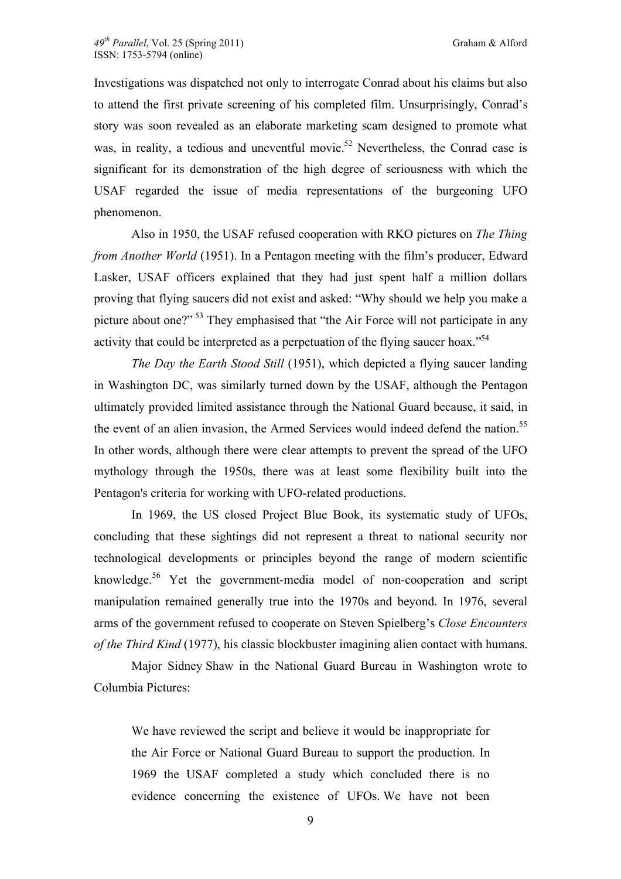Investigations was dispatched not only to interrogate Conrad about his claims but also to attend the first private screening of his completed film. Unsurprisingly, Conrad's story was soon revealed as an elaborate marketing scam designed to promote what was, in reality, a tedious and uneventful movie.<sup>52</sup> Nevertheless, the Conrad case is significant for its demonstration of the high degree of seriousness with which the USAF regarded the issue of media representations of the burgeoning UFO phenomenon.

Also in 1950, the USAF refused cooperation with RKO pictures on *The Thing from Another World* (1951). In a Pentagon meeting with the film's producer, Edward Lasker, USAF officers explained that they had just spent half a million dollars proving that flying saucers did not exist and asked: "Why should we help you make a picture about one?" 53 They emphasised that "the Air Force will not participate in any activity that could be interpreted as a perpetuation of the flying saucer hoax."<sup>54</sup>

*The Day the Earth Stood Still* (1951), which depicted a flying saucer landing in Washington DC, was similarly turned down by the USAF, although the Pentagon ultimately provided limited assistance through the National Guard because, it said, in the event of an alien invasion, the Armed Services would indeed defend the nation.<sup>55</sup> In other words, although there were clear attempts to prevent the spread of the UFO mythology through the 1950s, there was at least some flexibility built into the Pentagon's criteria for working with UFO-related productions.

In 1969, the US closed Project Blue Book, its systematic study of UFOs, concluding that these sightings did not represent a threat to national security nor technological developments or principles beyond the range of modern scientific knowledge.<sup>56</sup> Yet the government-media model of non-cooperation and script manipulation remained generally true into the 1970s and beyond. In 1976, several arms of the government refused to cooperate on Steven Spielberg's *Close Encounters of the Third Kind* (1977), his classic blockbuster imagining alien contact with humans.

Major Sidney Shaw in the National Guard Bureau in Washington wrote to Columbia Pictures:

We have reviewed the script and believe it would be inappropriate for the Air Force or National Guard Bureau to support the production. In 1969 the USAF completed a study which concluded there is no evidence concerning the existence of UFOs. We have not been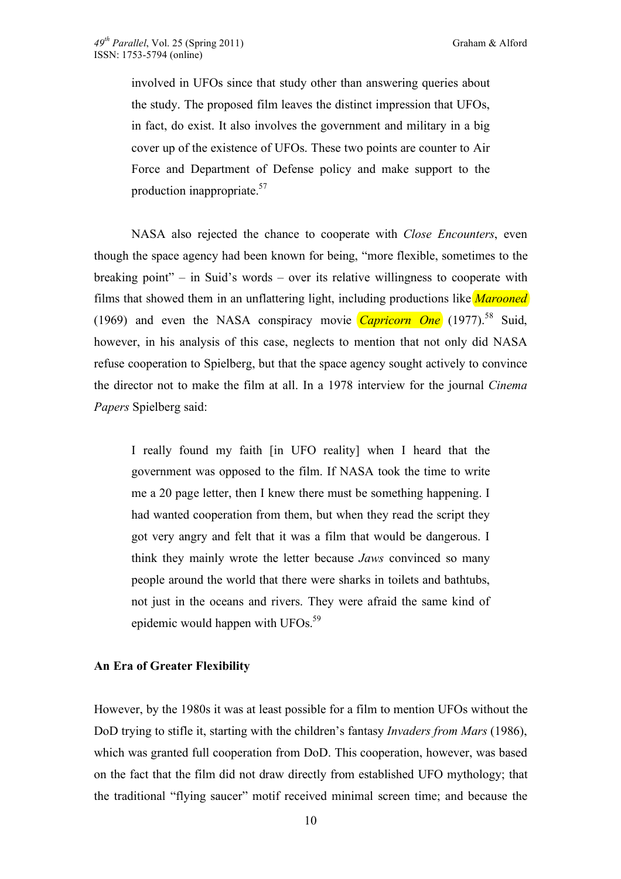involved in UFOs since that study other than answering queries about the study. The proposed film leaves the distinct impression that UFOs, in fact, do exist. It also involves the government and military in a big cover up of the existence of UFOs. These two points are counter to Air Force and Department of Defense policy and make support to the production inappropriate.57

NASA also rejected the chance to cooperate with *Close Encounters*, even though the space agency had been known for being, "more flexible, sometimes to the breaking point" – in Suid's words – over its relative willingness to cooperate with films that showed them in an unflattering light, including productions like *Marooned* (1969) and even the NASA conspiracy movie *Capricorn One* (1977).<sup>58</sup> Suid, however, in his analysis of this case, neglects to mention that not only did NASA refuse cooperation to Spielberg, but that the space agency sought actively to convince the director not to make the film at all. In a 1978 interview for the journal *Cinema Papers* Spielberg said:

I really found my faith [in UFO reality] when I heard that the government was opposed to the film. If NASA took the time to write me a 20 page letter, then I knew there must be something happening. I had wanted cooperation from them, but when they read the script they got very angry and felt that it was a film that would be dangerous. I think they mainly wrote the letter because *Jaws* convinced so many people around the world that there were sharks in toilets and bathtubs, not just in the oceans and rivers. They were afraid the same kind of epidemic would happen with UFOs.<sup>59</sup>

#### **An Era of Greater Flexibility**

However, by the 1980s it was at least possible for a film to mention UFOs without the DoD trying to stifle it, starting with the children's fantasy *Invaders from Mars* (1986), which was granted full cooperation from DoD. This cooperation, however, was based on the fact that the film did not draw directly from established UFO mythology; that the traditional "flying saucer" motif received minimal screen time; and because the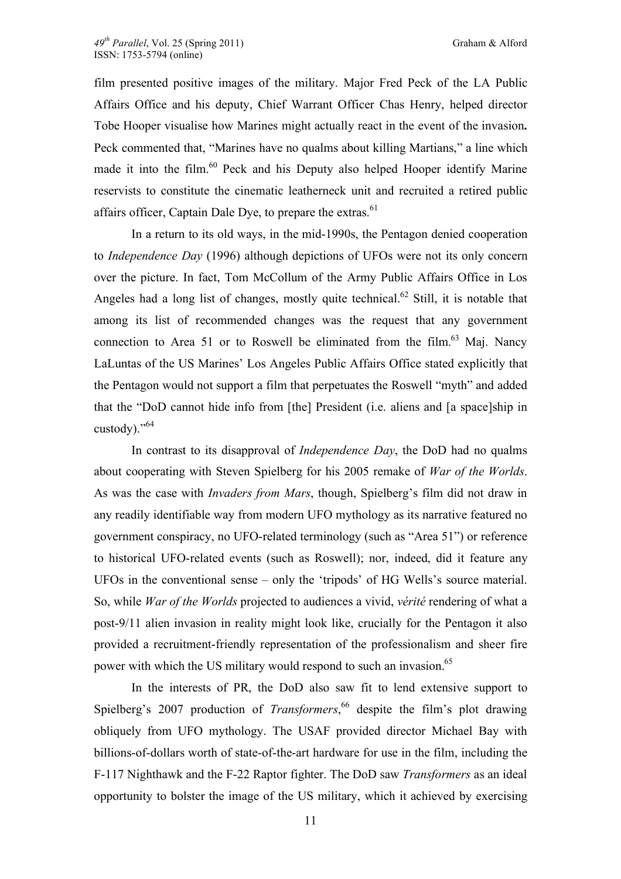film presented positive images of the military. Major Fred Peck of the LA Public Affairs Office and his deputy, Chief Warrant Officer Chas Henry, helped director Tobe Hooper visualise how Marines might actually react in the event of the invasion**.** Peck commented that, "Marines have no qualms about killing Martians," a line which made it into the film.<sup>60</sup> Peck and his Deputy also helped Hooper identify Marine reservists to constitute the cinematic leatherneck unit and recruited a retired public affairs officer, Captain Dale Dye, to prepare the extras.<sup>61</sup>

In a return to its old ways, in the mid-1990s, the Pentagon denied cooperation to *Independence Day* (1996) although depictions of UFOs were not its only concern over the picture. In fact, Tom McCollum of the Army Public Affairs Office in Los Angeles had a long list of changes, mostly quite technical.<sup>62</sup> Still, it is notable that among its list of recommended changes was the request that any government connection to Area 51 or to Roswell be eliminated from the film.<sup>63</sup> Mai. Nancy LaLuntas of the US Marines' Los Angeles Public Affairs Office stated explicitly that the Pentagon would not support a film that perpetuates the Roswell "myth" and added that the "DoD cannot hide info from [the] President (i.e. aliens and [a space]ship in custody)."64

In contrast to its disapproval of *Independence Day*, the DoD had no qualms about cooperating with Steven Spielberg for his 2005 remake of *War of the Worlds*. As was the case with *Invaders from Mars*, though, Spielberg's film did not draw in any readily identifiable way from modern UFO mythology as its narrative featured no government conspiracy, no UFO-related terminology (such as "Area 51") or reference to historical UFO-related events (such as Roswell); nor, indeed, did it feature any UFOs in the conventional sense – only the 'tripods' of HG Wells's source material. So, while *War of the Worlds* projected to audiences a vivid, *vérité* rendering of what a post-9/11 alien invasion in reality might look like, crucially for the Pentagon it also provided a recruitment-friendly representation of the professionalism and sheer fire power with which the US military would respond to such an invasion.<sup>65</sup>

In the interests of PR, the DoD also saw fit to lend extensive support to Spielberg's 2007 production of *Transformers*, 66 despite the film's plot drawing obliquely from UFO mythology. The USAF provided director Michael Bay with billions-of-dollars worth of state-of-the-art hardware for use in the film, including the F-117 Nighthawk and the F-22 Raptor fighter. The DoD saw *Transformers* as an ideal opportunity to bolster the image of the US military, which it achieved by exercising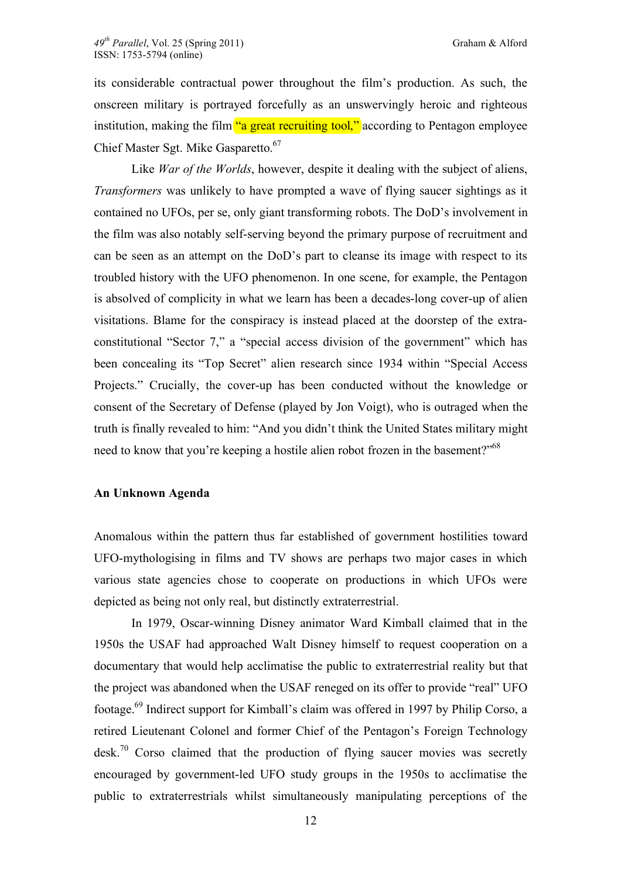its considerable contractual power throughout the film's production. As such, the onscreen military is portrayed forcefully as an unswervingly heroic and righteous institution, making the film "a great recruiting tool," according to Pentagon employee Chief Master Sgt. Mike Gasparetto.<sup>67</sup>

Like *War of the Worlds*, however, despite it dealing with the subject of aliens, *Transformers* was unlikely to have prompted a wave of flying saucer sightings as it contained no UFOs, per se, only giant transforming robots. The DoD's involvement in the film was also notably self-serving beyond the primary purpose of recruitment and can be seen as an attempt on the DoD's part to cleanse its image with respect to its troubled history with the UFO phenomenon. In one scene, for example, the Pentagon is absolved of complicity in what we learn has been a decades-long cover-up of alien visitations. Blame for the conspiracy is instead placed at the doorstep of the extraconstitutional "Sector 7," a "special access division of the government" which has been concealing its "Top Secret" alien research since 1934 within "Special Access Projects." Crucially, the cover-up has been conducted without the knowledge or consent of the Secretary of Defense (played by Jon Voigt), who is outraged when the truth is finally revealed to him: "And you didn't think the United States military might need to know that you're keeping a hostile alien robot frozen in the basement?"<sup>68</sup>

### **An Unknown Agenda**

Anomalous within the pattern thus far established of government hostilities toward UFO-mythologising in films and TV shows are perhaps two major cases in which various state agencies chose to cooperate on productions in which UFOs were depicted as being not only real, but distinctly extraterrestrial.

In 1979, Oscar-winning Disney animator Ward Kimball claimed that in the 1950s the USAF had approached Walt Disney himself to request cooperation on a documentary that would help acclimatise the public to extraterrestrial reality but that the project was abandoned when the USAF reneged on its offer to provide "real" UFO footage.69 Indirect support for Kimball's claim was offered in 1997 by Philip Corso, a retired Lieutenant Colonel and former Chief of the Pentagon's Foreign Technology  $\text{desk}^{70}$  Corso claimed that the production of flying saucer movies was secretly encouraged by government-led UFO study groups in the 1950s to acclimatise the public to extraterrestrials whilst simultaneously manipulating perceptions of the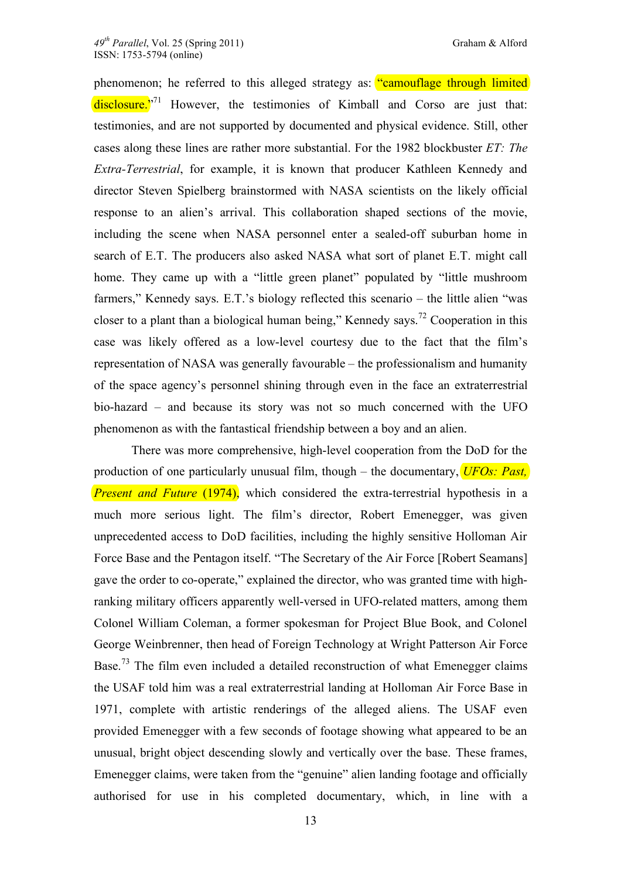phenomenon; he referred to this alleged strategy as: "camouflage through limited disclosure. $2^{71}$  However, the testimonies of Kimball and Corso are just that: testimonies, and are not supported by documented and physical evidence. Still, other cases along these lines are rather more substantial. For the 1982 blockbuster *ET: The Extra-Terrestrial*, for example, it is known that producer Kathleen Kennedy and director Steven Spielberg brainstormed with NASA scientists on the likely official response to an alien's arrival. This collaboration shaped sections of the movie, including the scene when NASA personnel enter a sealed-off suburban home in search of E.T. The producers also asked NASA what sort of planet E.T. might call home. They came up with a "little green planet" populated by "little mushroom farmers," Kennedy says. E.T.'s biology reflected this scenario – the little alien "was closer to a plant than a biological human being," Kennedy says.<sup>72</sup> Cooperation in this case was likely offered as a low-level courtesy due to the fact that the film's representation of NASA was generally favourable – the professionalism and humanity of the space agency's personnel shining through even in the face an extraterrestrial bio-hazard – and because its story was not so much concerned with the UFO phenomenon as with the fantastical friendship between a boy and an alien.

There was more comprehensive, high-level cooperation from the DoD for the production of one particularly unusual film, though – the documentary, *UFOs: Past, Present and Future* (1974), which considered the extra-terrestrial hypothesis in a much more serious light. The film's director, Robert Emenegger, was given unprecedented access to DoD facilities, including the highly sensitive Holloman Air Force Base and the Pentagon itself. "The Secretary of the Air Force [Robert Seamans] gave the order to co-operate," explained the director, who was granted time with highranking military officers apparently well-versed in UFO-related matters, among them Colonel William Coleman, a former spokesman for Project Blue Book, and Colonel George Weinbrenner, then head of Foreign Technology at Wright Patterson Air Force Base.<sup>73</sup> The film even included a detailed reconstruction of what Emenegger claims the USAF told him was a real extraterrestrial landing at Holloman Air Force Base in 1971, complete with artistic renderings of the alleged aliens. The USAF even provided Emenegger with a few seconds of footage showing what appeared to be an unusual, bright object descending slowly and vertically over the base. These frames, Emenegger claims, were taken from the "genuine" alien landing footage and officially authorised for use in his completed documentary, which, in line with a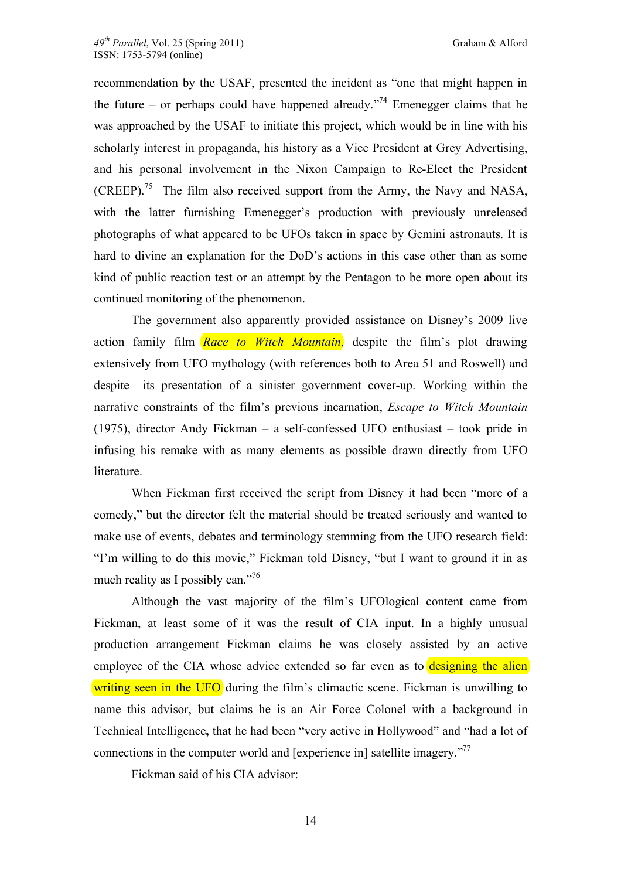recommendation by the USAF, presented the incident as "one that might happen in the future – or perhaps could have happened already."<sup>74</sup> Emenegger claims that he was approached by the USAF to initiate this project, which would be in line with his scholarly interest in propaganda, his history as a Vice President at Grey Advertising, and his personal involvement in the Nixon Campaign to Re-Elect the President (CREEP).<sup>75</sup> The film also received support from the Army, the Navy and NASA, with the latter furnishing Emenegger's production with previously unreleased photographs of what appeared to be UFOs taken in space by Gemini astronauts. It is hard to divine an explanation for the DoD's actions in this case other than as some kind of public reaction test or an attempt by the Pentagon to be more open about its continued monitoring of the phenomenon.

The government also apparently provided assistance on Disney's 2009 live action family film *Race to Witch Mountain*, despite the film's plot drawing extensively from UFO mythology (with references both to Area 51 and Roswell) and despite its presentation of a sinister government cover-up. Working within the narrative constraints of the film's previous incarnation, *Escape to Witch Mountain* (1975), director Andy Fickman – a self-confessed UFO enthusiast – took pride in infusing his remake with as many elements as possible drawn directly from UFO literature.

When Fickman first received the script from Disney it had been "more of a comedy," but the director felt the material should be treated seriously and wanted to make use of events, debates and terminology stemming from the UFO research field: "I'm willing to do this movie," Fickman told Disney, "but I want to ground it in as much reality as I possibly can."<sup>76</sup>

Although the vast majority of the film's UFOlogical content came from Fickman, at least some of it was the result of CIA input. In a highly unusual production arrangement Fickman claims he was closely assisted by an active employee of the CIA whose advice extended so far even as to designing the alien writing seen in the UFO during the film's climactic scene. Fickman is unwilling to name this advisor, but claims he is an Air Force Colonel with a background in Technical Intelligence**,** that he had been "very active in Hollywood" and "had a lot of connections in the computer world and [experience in] satellite imagery."<sup>77</sup>

Fickman said of his CIA advisor: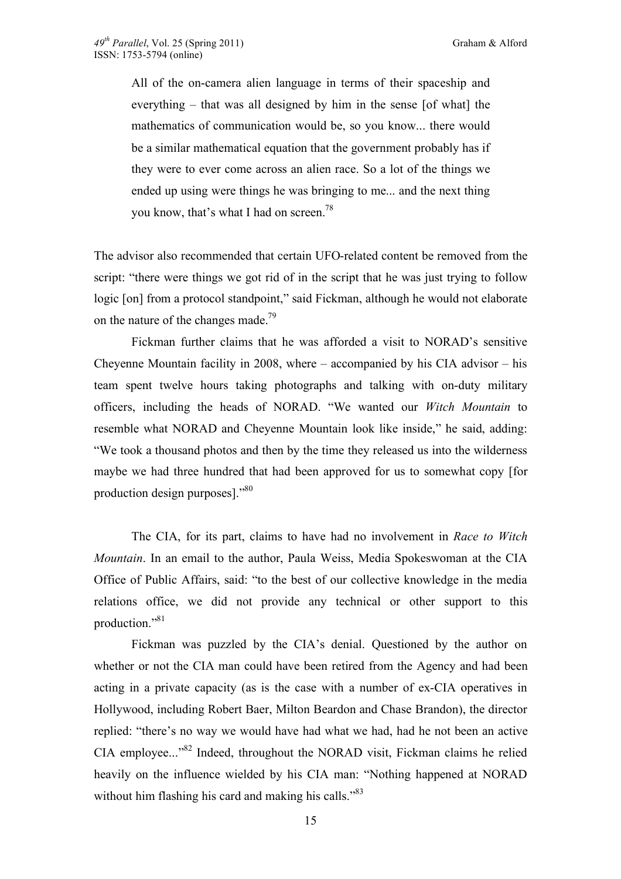All of the on-camera alien language in terms of their spaceship and everything – that was all designed by him in the sense [of what] the mathematics of communication would be, so you know... there would be a similar mathematical equation that the government probably has if they were to ever come across an alien race. So a lot of the things we ended up using were things he was bringing to me... and the next thing you know, that's what I had on screen.<sup>78</sup>

The advisor also recommended that certain UFO-related content be removed from the script: "there were things we got rid of in the script that he was just trying to follow logic [on] from a protocol standpoint," said Fickman, although he would not elaborate on the nature of the changes made.<sup>79</sup>

Fickman further claims that he was afforded a visit to NORAD's sensitive Cheyenne Mountain facility in 2008, where – accompanied by his CIA advisor – his team spent twelve hours taking photographs and talking with on-duty military officers, including the heads of NORAD. "We wanted our *Witch Mountain* to resemble what NORAD and Cheyenne Mountain look like inside," he said, adding: "We took a thousand photos and then by the time they released us into the wilderness maybe we had three hundred that had been approved for us to somewhat copy [for production design purposes]."80

The CIA, for its part, claims to have had no involvement in *Race to Witch Mountain*. In an email to the author, Paula Weiss, Media Spokeswoman at the CIA Office of Public Affairs, said: "to the best of our collective knowledge in the media relations office, we did not provide any technical or other support to this production."81

Fickman was puzzled by the CIA's denial. Questioned by the author on whether or not the CIA man could have been retired from the Agency and had been acting in a private capacity (as is the case with a number of ex-CIA operatives in Hollywood, including Robert Baer, Milton Beardon and Chase Brandon), the director replied: "there's no way we would have had what we had, had he not been an active CIA employee..."82 Indeed, throughout the NORAD visit, Fickman claims he relied heavily on the influence wielded by his CIA man: "Nothing happened at NORAD without him flashing his card and making his calls."<sup>83</sup>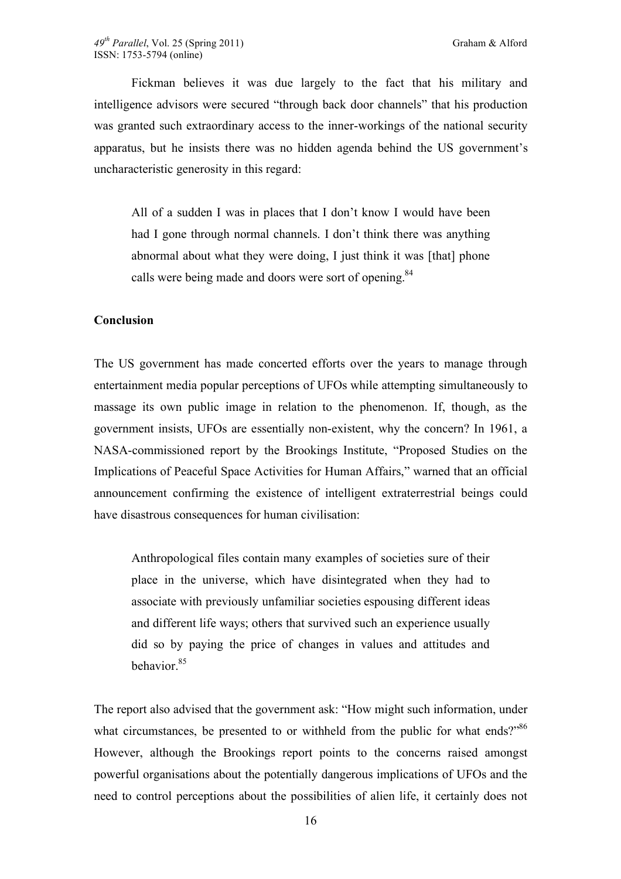Fickman believes it was due largely to the fact that his military and intelligence advisors were secured "through back door channels" that his production was granted such extraordinary access to the inner-workings of the national security apparatus, but he insists there was no hidden agenda behind the US government's uncharacteristic generosity in this regard:

All of a sudden I was in places that I don't know I would have been had I gone through normal channels. I don't think there was anything abnormal about what they were doing, I just think it was [that] phone calls were being made and doors were sort of opening.<sup>84</sup>

#### **Conclusion**

The US government has made concerted efforts over the years to manage through entertainment media popular perceptions of UFOs while attempting simultaneously to massage its own public image in relation to the phenomenon. If, though, as the government insists, UFOs are essentially non-existent, why the concern? In 1961, a NASA-commissioned report by the Brookings Institute, "Proposed Studies on the Implications of Peaceful Space Activities for Human Affairs," warned that an official announcement confirming the existence of intelligent extraterrestrial beings could have disastrous consequences for human civilisation:

Anthropological files contain many examples of societies sure of their place in the universe, which have disintegrated when they had to associate with previously unfamiliar societies espousing different ideas and different life ways; others that survived such an experience usually did so by paying the price of changes in values and attitudes and behavior<sup>85</sup>

The report also advised that the government ask: "How might such information, under what circumstances, be presented to or withheld from the public for what ends?"<sup>86</sup> However, although the Brookings report points to the concerns raised amongst powerful organisations about the potentially dangerous implications of UFOs and the need to control perceptions about the possibilities of alien life, it certainly does not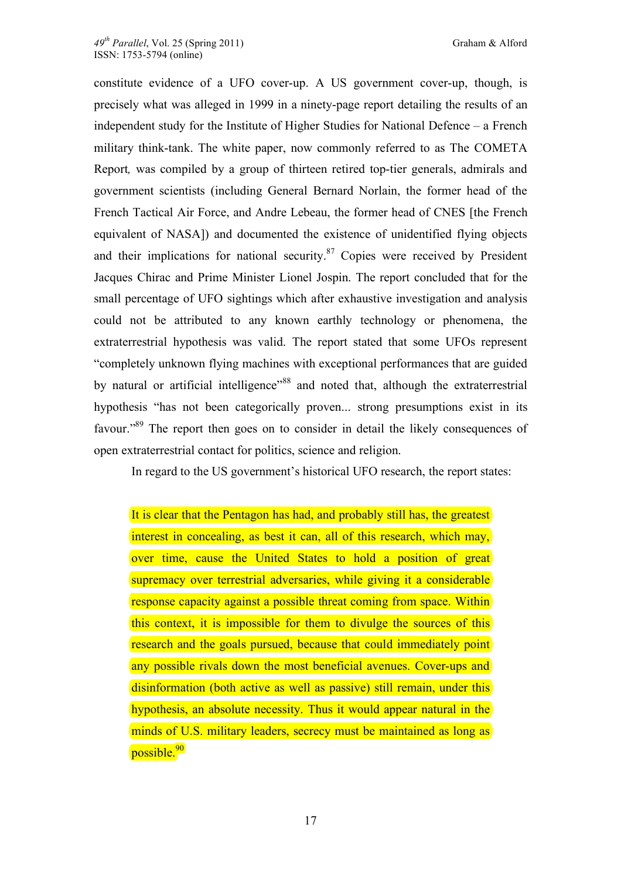constitute evidence of a UFO cover-up. A US government cover-up, though, is precisely what was alleged in 1999 in a ninety-page report detailing the results of an independent study for the Institute of Higher Studies for National Defence – a French military think-tank. The white paper, now commonly referred to as The COMETA Report*,* was compiled by a group of thirteen retired top-tier generals, admirals and government scientists (including General Bernard Norlain, the former head of the French Tactical Air Force, and Andre Lebeau, the former head of CNES [the French equivalent of NASA]) and documented the existence of unidentified flying objects and their implications for national security. $87$  Copies were received by President Jacques Chirac and Prime Minister Lionel Jospin. The report concluded that for the small percentage of UFO sightings which after exhaustive investigation and analysis could not be attributed to any known earthly technology or phenomena, the extraterrestrial hypothesis was valid. The report stated that some UFOs represent "completely unknown flying machines with exceptional performances that are guided by natural or artificial intelligence<sup>188</sup> and noted that, although the extraterrestrial hypothesis "has not been categorically proven... strong presumptions exist in its favour."89 The report then goes on to consider in detail the likely consequences of open extraterrestrial contact for politics, science and religion.

In regard to the US government's historical UFO research, the report states:

It is clear that the Pentagon has had, and probably still has, the greatest interest in concealing, as best it can, all of this research, which may, over time, cause the United States to hold a position of great supremacy over terrestrial adversaries, while giving it a considerable response capacity against a possible threat coming from space. Within this context, it is impossible for them to divulge the sources of this research and the goals pursued, because that could immediately point any possible rivals down the most beneficial avenues. Cover-ups and disinformation (both active as well as passive) still remain, under this hypothesis, an absolute necessity. Thus it would appear natural in the minds of U.S. military leaders, secrecy must be maintained as long as possible.<sup>90</sup>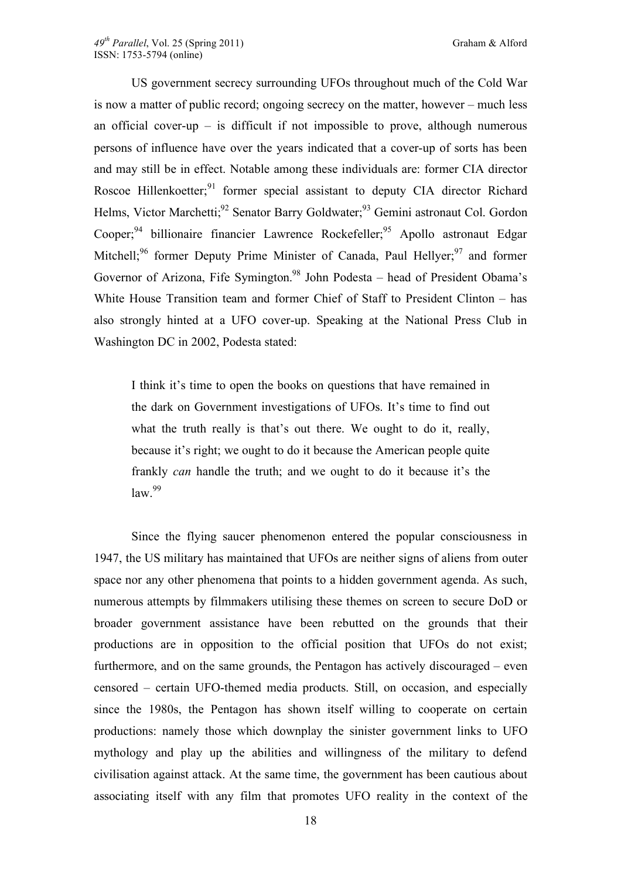US government secrecy surrounding UFOs throughout much of the Cold War is now a matter of public record; ongoing secrecy on the matter, however – much less an official cover-up – is difficult if not impossible to prove, although numerous persons of influence have over the years indicated that a cover-up of sorts has been and may still be in effect. Notable among these individuals are: former CIA director Roscoe Hillenkoetter;<sup>91</sup> former special assistant to deputy CIA director Richard Helms, Victor Marchetti;<sup>92</sup> Senator Barry Goldwater;<sup>93</sup> Gemini astronaut Col. Gordon Cooper;<sup>94</sup> billionaire financier Lawrence Rockefeller;<sup>95</sup> Apollo astronaut Edgar Mitchell;<sup>96</sup> former Deputy Prime Minister of Canada, Paul Hellyer;<sup>97</sup> and former Governor of Arizona, Fife Symington.<sup>98</sup> John Podesta – head of President Obama's White House Transition team and former Chief of Staff to President Clinton – has also strongly hinted at a UFO cover-up. Speaking at the National Press Club in Washington DC in 2002, Podesta stated:

I think it's time to open the books on questions that have remained in the dark on Government investigations of UFOs. It's time to find out what the truth really is that's out there. We ought to do it, really, because it's right; we ought to do it because the American people quite frankly *can* handle the truth; and we ought to do it because it's the  $law.<sup>99</sup>$ 

Since the flying saucer phenomenon entered the popular consciousness in 1947, the US military has maintained that UFOs are neither signs of aliens from outer space nor any other phenomena that points to a hidden government agenda. As such, numerous attempts by filmmakers utilising these themes on screen to secure DoD or broader government assistance have been rebutted on the grounds that their productions are in opposition to the official position that UFOs do not exist; furthermore, and on the same grounds, the Pentagon has actively discouraged – even censored – certain UFO-themed media products. Still, on occasion, and especially since the 1980s, the Pentagon has shown itself willing to cooperate on certain productions: namely those which downplay the sinister government links to UFO mythology and play up the abilities and willingness of the military to defend civilisation against attack. At the same time, the government has been cautious about associating itself with any film that promotes UFO reality in the context of the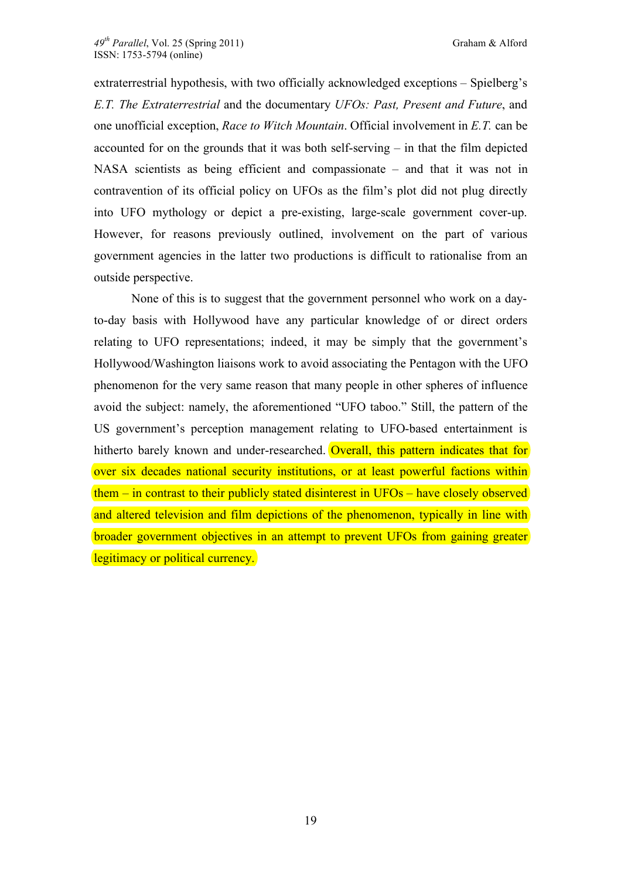extraterrestrial hypothesis, with two officially acknowledged exceptions – Spielberg's *E.T. The Extraterrestrial* and the documentary *UFOs: Past, Present and Future*, and one unofficial exception, *Race to Witch Mountain*. Official involvement in *E.T.* can be accounted for on the grounds that it was both self-serving – in that the film depicted NASA scientists as being efficient and compassionate – and that it was not in contravention of its official policy on UFOs as the film's plot did not plug directly into UFO mythology or depict a pre-existing, large-scale government cover-up. However, for reasons previously outlined, involvement on the part of various government agencies in the latter two productions is difficult to rationalise from an outside perspective.

None of this is to suggest that the government personnel who work on a dayto-day basis with Hollywood have any particular knowledge of or direct orders relating to UFO representations; indeed, it may be simply that the government's Hollywood/Washington liaisons work to avoid associating the Pentagon with the UFO phenomenon for the very same reason that many people in other spheres of influence avoid the subject: namely, the aforementioned "UFO taboo." Still, the pattern of the US government's perception management relating to UFO-based entertainment is hitherto barely known and under-researched. Overall, this pattern indicates that for over six decades national security institutions, or at least powerful factions within them – in contrast to their publicly stated disinterest in UFOs – have closely observed and altered television and film depictions of the phenomenon, typically in line with broader government objectives in an attempt to prevent UFOs from gaining greater legitimacy or political currency.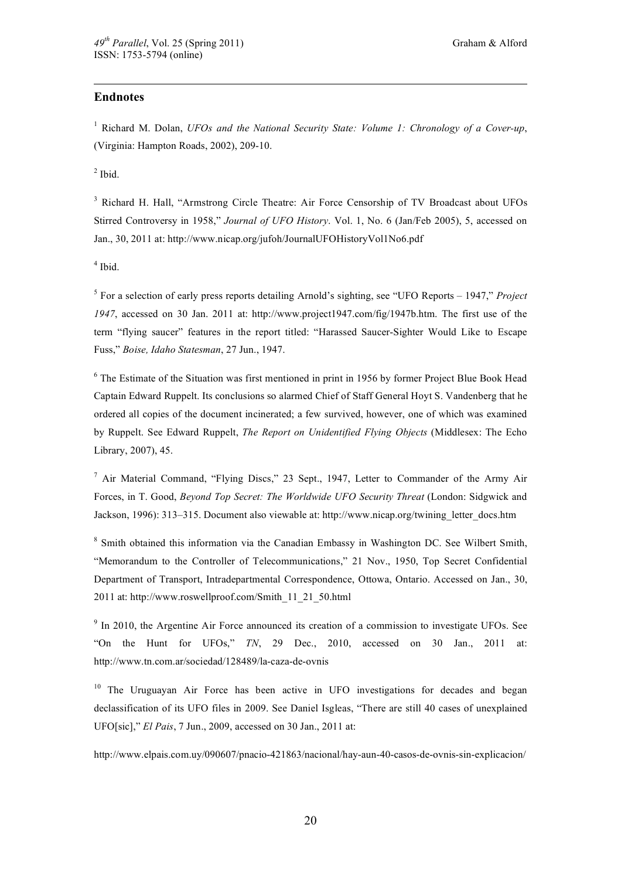#### **Endnotes**

 $\overline{a}$ 

<sup>1</sup> Richard M. Dolan, *UFOs and the National Security State: Volume 1: Chronology of a Cover-up*, (Virginia: Hampton Roads, 2002), 209-10.

 $<sup>2</sup>$  Ibid.</sup>

<sup>3</sup> Richard H. Hall, "Armstrong Circle Theatre: Air Force Censorship of TV Broadcast about UFOs Stirred Controversy in 1958," *Journal of UFO History*. Vol. 1, No. 6 (Jan/Feb 2005), 5, accessed on Jan., 30, 2011 at: http://www.nicap.org/jufoh/JournalUFOHistoryVol1No6.pdf

4 Ibid.

5 For a selection of early press reports detailing Arnold's sighting, see "UFO Reports – 1947," *Project 1947*, accessed on 30 Jan. 2011 at: http://www.project1947.com/fig/1947b.htm. The first use of the term "flying saucer" features in the report titled: "Harassed Saucer-Sighter Would Like to Escape Fuss," *Boise, Idaho Statesman*, 27 Jun., 1947.

<sup>6</sup> The Estimate of the Situation was first mentioned in print in 1956 by former Project Blue Book Head Captain Edward Ruppelt. Its conclusions so alarmed Chief of Staff General Hoyt S. Vandenberg that he ordered all copies of the document incinerated; a few survived, however, one of which was examined by Ruppelt. See Edward Ruppelt, *The Report on Unidentified Flying Objects* (Middlesex: The Echo Library, 2007), 45.

<sup>7</sup> Air Material Command, "Flying Discs," 23 Sept., 1947, Letter to Commander of the Army Air Forces, in T. Good, *Beyond Top Secret: The Worldwide UFO Security Threat* (London: Sidgwick and Jackson, 1996): 313–315. Document also viewable at: http://www.nicap.org/twining\_letter\_docs.htm

<sup>8</sup> Smith obtained this information via the Canadian Embassy in Washington DC. See Wilbert Smith, "Memorandum to the Controller of Telecommunications," 21 Nov., 1950, Top Secret Confidential Department of Transport, Intradepartmental Correspondence, Ottowa, Ontario. Accessed on Jan., 30, 2011 at: http://www.roswellproof.com/Smith\_11\_21\_50.html

 $9$  In 2010, the Argentine Air Force announced its creation of a commission to investigate UFOs. See "On the Hunt for UFOs," *TN*, 29 Dec., 2010, accessed on 30 Jan., 2011 at: http://www.tn.com.ar/sociedad/128489/la-caza-de-ovnis

<sup>10</sup> The Uruguayan Air Force has been active in UFO investigations for decades and began declassification of its UFO files in 2009. See Daniel Isgleas, "There are still 40 cases of unexplained UFO[sic]," *El Pais*, 7 Jun., 2009, accessed on 30 Jan., 2011 at:

http://www.elpais.com.uy/090607/pnacio-421863/nacional/hay-aun-40-casos-de-ovnis-sin-explicacion/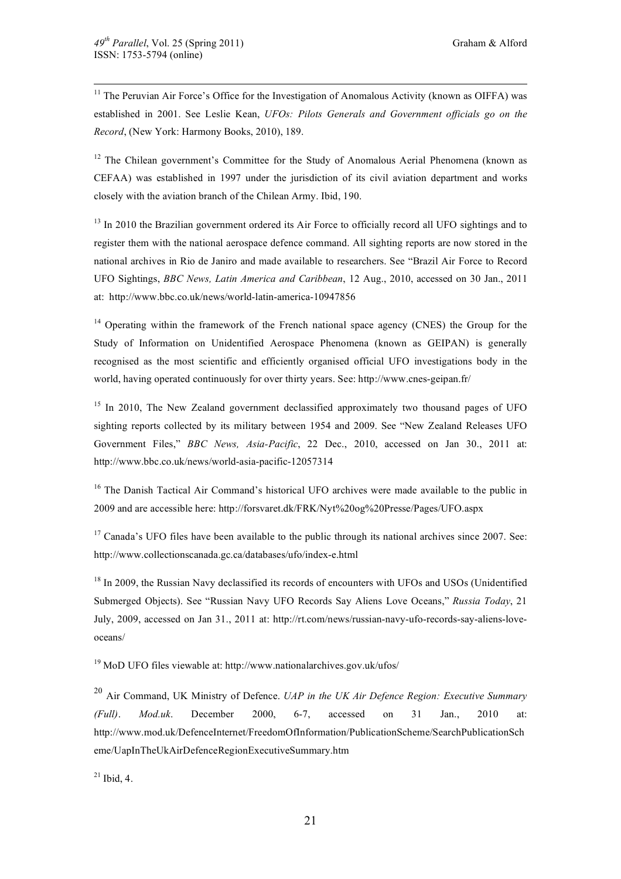$11$  The Peruvian Air Force's Office for the Investigation of Anomalous Activity (known as OIFFA) was established in 2001. See Leslie Kean, *UFOs: Pilots Generals and Government officials go on the Record*, (New York: Harmony Books, 2010), 189.

 $12$  The Chilean government's Committee for the Study of Anomalous Aerial Phenomena (known as CEFAA) was established in 1997 under the jurisdiction of its civil aviation department and works closely with the aviation branch of the Chilean Army. Ibid, 190.

<sup>13</sup> In 2010 the Brazilian government ordered its Air Force to officially record all UFO sightings and to register them with the national aerospace defence command. All sighting reports are now stored in the national archives in Rio de Janiro and made available to researchers. See "Brazil Air Force to Record UFO Sightings, *BBC News, Latin America and Caribbean*, 12 Aug., 2010, accessed on 30 Jan., 2011 at: http://www.bbc.co.uk/news/world-latin-america-10947856

 $14$  Operating within the framework of the French national space agency (CNES) the Group for the Study of Information on Unidentified Aerospace Phenomena (known as GEIPAN) is generally recognised as the most scientific and efficiently organised official UFO investigations body in the world, having operated continuously for over thirty years. See: http://www.cnes-geipan.fr/

 $15$  In 2010, The New Zealand government declassified approximately two thousand pages of UFO sighting reports collected by its military between 1954 and 2009. See "New Zealand Releases UFO Government Files," *BBC News, Asia-Pacific*, 22 Dec., 2010, accessed on Jan 30., 2011 at: http://www.bbc.co.uk/news/world-asia-pacific-12057314

<sup>16</sup> The Danish Tactical Air Command's historical UFO archives were made available to the public in 2009 and are accessible here: http://forsvaret.dk/FRK/Nyt%20og%20Presse/Pages/UFO.aspx

 $17$  Canada's UFO files have been available to the public through its national archives since 2007. See: http://www.collectionscanada.gc.ca/databases/ufo/index-e.html

<sup>18</sup> In 2009, the Russian Navy declassified its records of encounters with UFOs and USOs (Unidentified Submerged Objects). See "Russian Navy UFO Records Say Aliens Love Oceans," *Russia Today*, 21 July, 2009, accessed on Jan 31., 2011 at: http://rt.com/news/russian-navy-ufo-records-say-aliens-loveoceans/

19 MoD UFO files viewable at: http://www.nationalarchives.gov.uk/ufos/

<sup>20</sup> Air Command, UK Ministry of Defence. *UAP in the UK Air Defence Region: Executive Summary (Full)*. *Mod.uk*. December 2000, 6-7, accessed on 31 Jan., 2010 at: http://www.mod.uk/DefenceInternet/FreedomOfInformation/PublicationScheme/SearchPublicationSch eme/UapInTheUkAirDefenceRegionExecutiveSummary.htm

 $21$  Ibid, 4.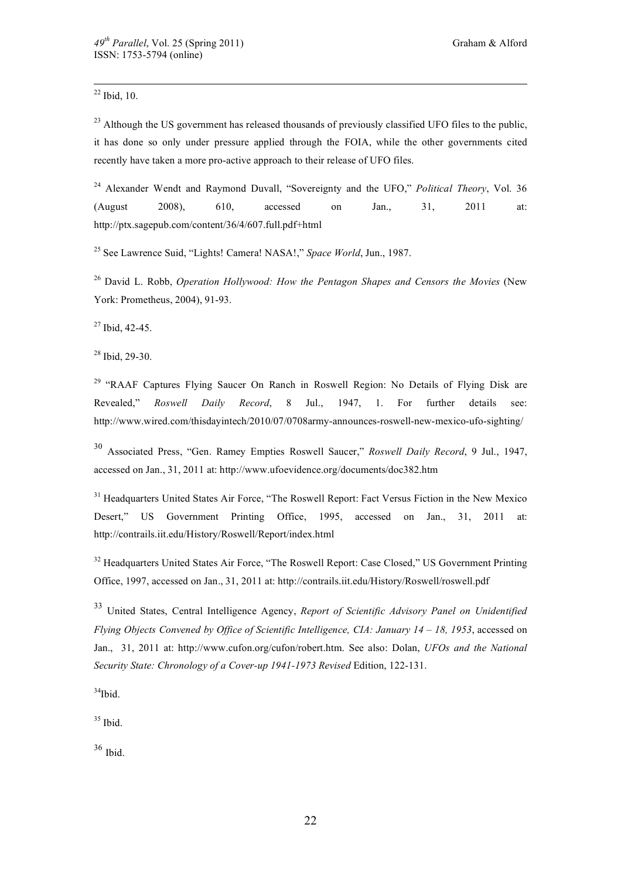$22$  Ibid, 10.

<sup>23</sup> Although the US government has released thousands of previously classified UFO files to the public, it has done so only under pressure applied through the FOIA, while the other governments cited recently have taken a more pro-active approach to their release of UFO files.

24 Alexander Wendt and Raymond Duvall, "Sovereignty and the UFO," *Political Theory*, Vol. 36 (August 2008), 610, accessed on Jan., 31, 2011 at: http://ptx.sagepub.com/content/36/4/607.full.pdf+html

25 See Lawrence Suid, "Lights! Camera! NASA!," *Space World*, Jun., 1987.

26 David L. Robb, *Operation Hollywood: How the Pentagon Shapes and Censors the Movies* (New York: Prometheus, 2004), 91-93.

 $27$  Ibid, 42-45.

28 Ibid, 29-30.

<sup>29</sup> "RAAF Captures Flying Saucer On Ranch in Roswell Region: No Details of Flying Disk are Revealed," *Roswell Daily Record*, 8 Jul., 1947, 1. For further details see: http://www.wired.com/thisdayintech/2010/07/0708army-announces-roswell-new-mexico-ufo-sighting/

<sup>30</sup> Associated Press, "Gen. Ramey Empties Roswell Saucer," *Roswell Daily Record*, 9 Jul., 1947, accessed on Jan., 31, 2011 at: http://www.ufoevidence.org/documents/doc382.htm

<sup>31</sup> Headquarters United States Air Force, "The Roswell Report: Fact Versus Fiction in the New Mexico Desert," US Government Printing Office, 1995, accessed on Jan., 31, 2011 at: http://contrails.iit.edu/History/Roswell/Report/index.html

<sup>32</sup> Headquarters United States Air Force, "The Roswell Report: Case Closed," US Government Printing Office, 1997, accessed on Jan., 31, 2011 at: http://contrails.iit.edu/History/Roswell/roswell.pdf

<sup>33</sup> United States, Central Intelligence Agency, *Report of Scientific Advisory Panel on Unidentified Flying Objects Convened by Office of Scientific Intelligence, CIA: January 14 – 18, 1953*, accessed on Jan., 31, 2011 at: http://www.cufon.org/cufon/robert.htm. See also: Dolan, *UFOs and the National Security State: Chronology of a Cover-up 1941-1973 Revised* Edition, 122-131.

 $34$ Ibid.

 $35$  Ibid.

 $36$  Ibid.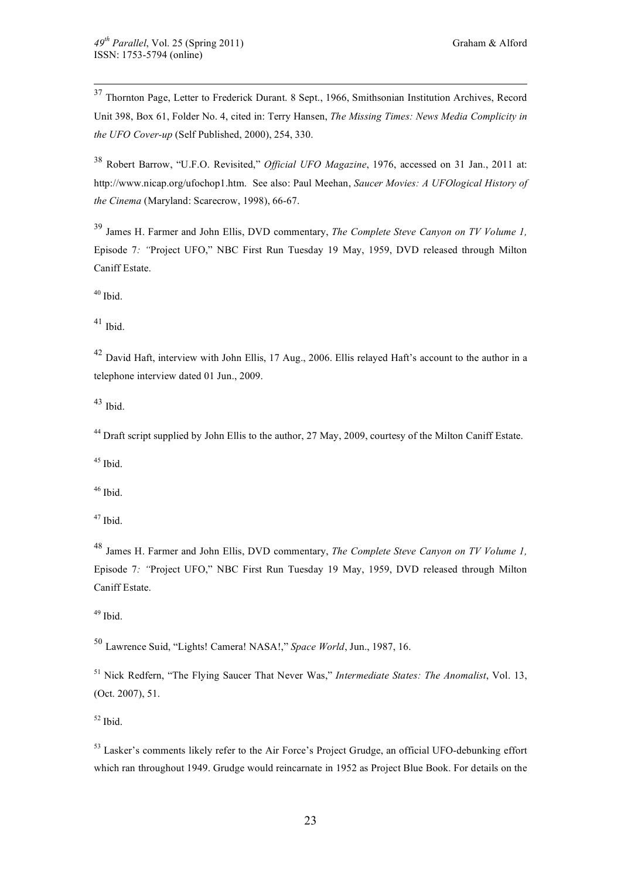37 Thornton Page, Letter to Frederick Durant. 8 Sept., 1966, Smithsonian Institution Archives, Record Unit 398, Box 61, Folder No. 4, cited in: Terry Hansen, *The Missing Times: News Media Complicity in the UFO Cover-up* (Self Published, 2000), 254, 330.

<sup>38</sup> Robert Barrow, "U.F.O. Revisited," *Official UFO Magazine*, 1976, accessed on 31 Jan., 2011 at: http://www.nicap.org/ufochop1.htm. See also: Paul Meehan, *Saucer Movies: A UFOlogical History of the Cinema* (Maryland: Scarecrow, 1998), 66-67.

<sup>39</sup> James H. Farmer and John Ellis, DVD commentary, *The Complete Steve Canyon on TV Volume 1,* Episode 7*: "*Project UFO," NBC First Run Tuesday 19 May, 1959, DVD released through Milton Caniff Estate.

 $40$  Ibid.

 $41$  Ibid.

<sup>42</sup> David Haft, interview with John Ellis, 17 Aug., 2006. Ellis relayed Haft's account to the author in a telephone interview dated 01 Jun., 2009.

<sup>43</sup> Ibid.

<sup>44</sup> Draft script supplied by John Ellis to the author, 27 May, 2009, courtesy of the Milton Caniff Estate.

 $45$  Ibid.

 $46$  Ibid.

47 Ibid.

<sup>48</sup> James H. Farmer and John Ellis, DVD commentary, *The Complete Steve Canyon on TV Volume 1,* Episode 7*: "*Project UFO," NBC First Run Tuesday 19 May, 1959, DVD released through Milton Caniff Estate.

 $49$  Ibid.

<sup>50</sup> Lawrence Suid, "Lights! Camera! NASA!," *Space World*, Jun., 1987, 16.

<sup>51</sup> Nick Redfern, "The Flying Saucer That Never Was," *Intermediate States: The Anomalist*, Vol. 13, (Oct. 2007), 51.

 $52$  Ibid.

<sup>53</sup> Lasker's comments likely refer to the Air Force's Project Grudge, an official UFO-debunking effort which ran throughout 1949. Grudge would reincarnate in 1952 as Project Blue Book. For details on the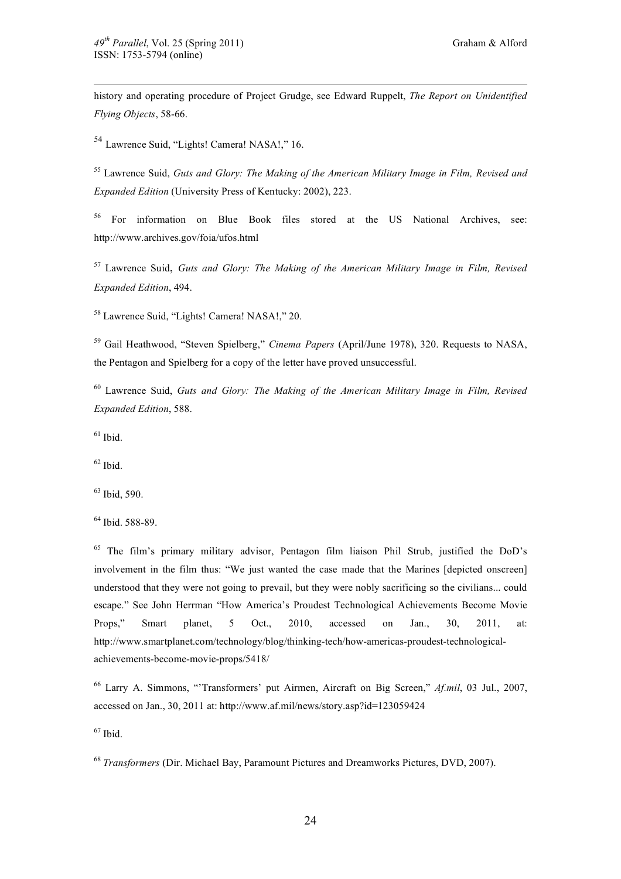history and operating procedure of Project Grudge, see Edward Ruppelt, *The Report on Unidentified Flying Objects*, 58-66.

<sup>54</sup> Lawrence Suid, "Lights! Camera! NASA!," 16.

55 Lawrence Suid, *Guts and Glory: The Making of the American Military Image in Film, Revised and Expanded Edition* (University Press of Kentucky: 2002), 223.

56 For information on Blue Book files stored at the US National Archives, see: http://www.archives.gov/foia/ufos.html

57 Lawrence Suid, *Guts and Glory: The Making of the American Military Image in Film, Revised Expanded Edition*, 494.

<sup>58</sup> Lawrence Suid, "Lights! Camera! NASA!," 20.

<sup>59</sup> Gail Heathwood, "Steven Spielberg," *Cinema Papers* (April/June 1978), 320. Requests to NASA, the Pentagon and Spielberg for a copy of the letter have proved unsuccessful.

60 Lawrence Suid, *Guts and Glory: The Making of the American Military Image in Film, Revised Expanded Edition*, 588.

 $61$  Ibid.

 $62$  Ibid.

63 Ibid, 590.

64 Ibid. 588-89.

<sup>65</sup> The film's primary military advisor, Pentagon film liaison Phil Strub, justified the DoD's involvement in the film thus: "We just wanted the case made that the Marines [depicted onscreen] understood that they were not going to prevail, but they were nobly sacrificing so the civilians... could escape." See John Herrman "How America's Proudest Technological Achievements Become Movie Props," Smart planet, 5 Oct., 2010, accessed on Jan., 30, 2011, at: http://www.smartplanet.com/technology/blog/thinking-tech/how-americas-proudest-technologicalachievements-become-movie-props/5418/

66 Larry A. Simmons, "'Transformers' put Airmen, Aircraft on Big Screen," *Af.mil*, 03 Jul., 2007, accessed on Jan., 30, 2011 at: http://www.af.mil/news/story.asp?id=123059424

 $67$  Ibid.

<sup>68</sup> *Transformers* (Dir. Michael Bay, Paramount Pictures and Dreamworks Pictures, DVD, 2007).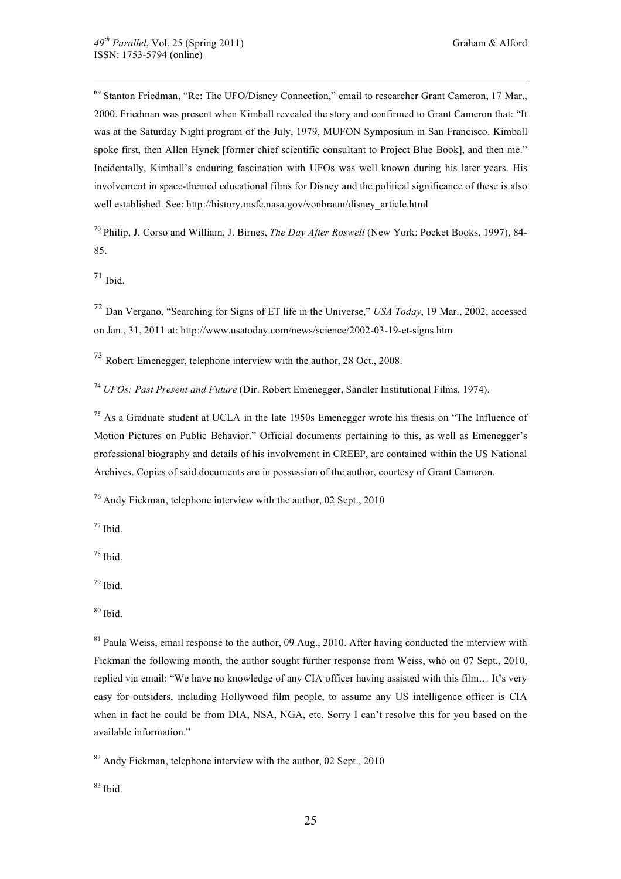69 Stanton Friedman, "Re: The UFO/Disney Connection," email to researcher Grant Cameron, 17 Mar., 2000. Friedman was present when Kimball revealed the story and confirmed to Grant Cameron that: "It was at the Saturday Night program of the July, 1979, MUFON Symposium in San Francisco. Kimball spoke first, then Allen Hynek [former chief scientific consultant to Project Blue Book], and then me." Incidentally, Kimball's enduring fascination with UFOs was well known during his later years. His involvement in space-themed educational films for Disney and the political significance of these is also well established. See: http://history.msfc.nasa.gov/vonbraun/disney\_article.html

70 Philip, J. Corso and William, J. Birnes, *The Day After Roswell* (New York: Pocket Books, 1997), 84- 85.

 $71$  Ibid.

<sup>72</sup> Dan Vergano, "Searching for Signs of ET life in the Universe," *USA Today*, 19 Mar., 2002, accessed on Jan., 31, 2011 at: http://www.usatoday.com/news/science/2002-03-19-et-signs.htm

<sup>73</sup> Robert Emenegger, telephone interview with the author, 28 Oct., 2008.

<sup>74</sup> *UFOs: Past Present and Future* (Dir. Robert Emenegger, Sandler Institutional Films, 1974).

 $<sup>75</sup>$  As a Graduate student at UCLA in the late 1950s Emenegger wrote his thesis on "The Influence of</sup> Motion Pictures on Public Behavior." Official documents pertaining to this, as well as Emenegger's professional biography and details of his involvement in CREEP, are contained within the US National Archives. Copies of said documents are in possession of the author, courtesy of Grant Cameron.

 $76$  Andy Fickman, telephone interview with the author, 02 Sept., 2010

 $77$  Ibid.

78 Ibid.

79 Ibid.

 $80$  Ibid.

 $81$  Paula Weiss, email response to the author, 09 Aug., 2010. After having conducted the interview with Fickman the following month, the author sought further response from Weiss, who on 07 Sept., 2010. replied via email: "We have no knowledge of any CIA officer having assisted with this film… It's very easy for outsiders, including Hollywood film people, to assume any US intelligence officer is CIA when in fact he could be from DIA, NSA, NGA, etc. Sorry I can't resolve this for you based on the available information."

 $82$  Andy Fickman, telephone interview with the author, 02 Sept., 2010

 $83$  Ibid.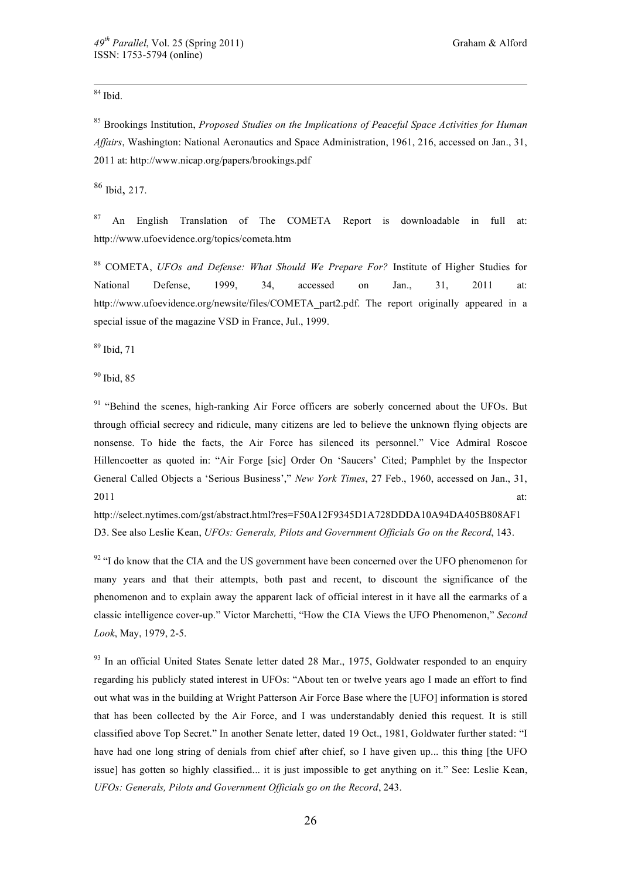## $84$  Ibid.

85 Brookings Institution, *Proposed Studies on the Implications of Peaceful Space Activities for Human Affairs*, Washington: National Aeronautics and Space Administration, 1961, 216, accessed on Jan., 31, 2011 at: http://www.nicap.org/papers/brookings.pdf

<sup>86</sup> Ibid, 217.

 $87$  An English Translation of The COMETA Report is downloadable in full at: http://www.ufoevidence.org/topics/cometa.htm

88 COMETA, *UFOs and Defense: What Should We Prepare For?* Institute of Higher Studies for National Defense, 1999, 34, accessed on Jan., 31, 2011 at: http://www.ufoevidence.org/newsite/files/COMETA\_part2.pdf. The report originally appeared in a special issue of the magazine VSD in France, Jul., 1999.

89 Ibid, 71

<sup>90</sup> Ibid, 85

<sup>91</sup> "Behind the scenes, high-ranking Air Force officers are soberly concerned about the UFOs. But through official secrecy and ridicule, many citizens are led to believe the unknown flying objects are nonsense. To hide the facts, the Air Force has silenced its personnel." Vice Admiral Roscoe Hillencoetter as quoted in: "Air Forge [sic] Order On 'Saucers' Cited; Pamphlet by the Inspector General Called Objects a 'Serious Business'," *New York Times*, 27 Feb., 1960, accessed on Jan., 31,  $2011$  at:

http://select.nytimes.com/gst/abstract.html?res=F50A12F9345D1A728DDDA10A94DA405B808AF1 D3. See also Leslie Kean, *UFOs: Generals, Pilots and Government Officials Go on the Record*, 143.

 $92$  "I do know that the CIA and the US government have been concerned over the UFO phenomenon for many years and that their attempts, both past and recent, to discount the significance of the phenomenon and to explain away the apparent lack of official interest in it have all the earmarks of a classic intelligence cover-up." Victor Marchetti, "How the CIA Views the UFO Phenomenon," *Second Look*, May, 1979, 2-5.

<sup>93</sup> In an official United States Senate letter dated 28 Mar., 1975, Goldwater responded to an enquiry regarding his publicly stated interest in UFOs: "About ten or twelve years ago I made an effort to find out what was in the building at Wright Patterson Air Force Base where the [UFO] information is stored that has been collected by the Air Force, and I was understandably denied this request. It is still classified above Top Secret." In another Senate letter, dated 19 Oct., 1981, Goldwater further stated: "I have had one long string of denials from chief after chief, so I have given up... this thing [the UFO issue] has gotten so highly classified... it is just impossible to get anything on it." See: Leslie Kean, *UFOs: Generals, Pilots and Government Officials go on the Record*, 243.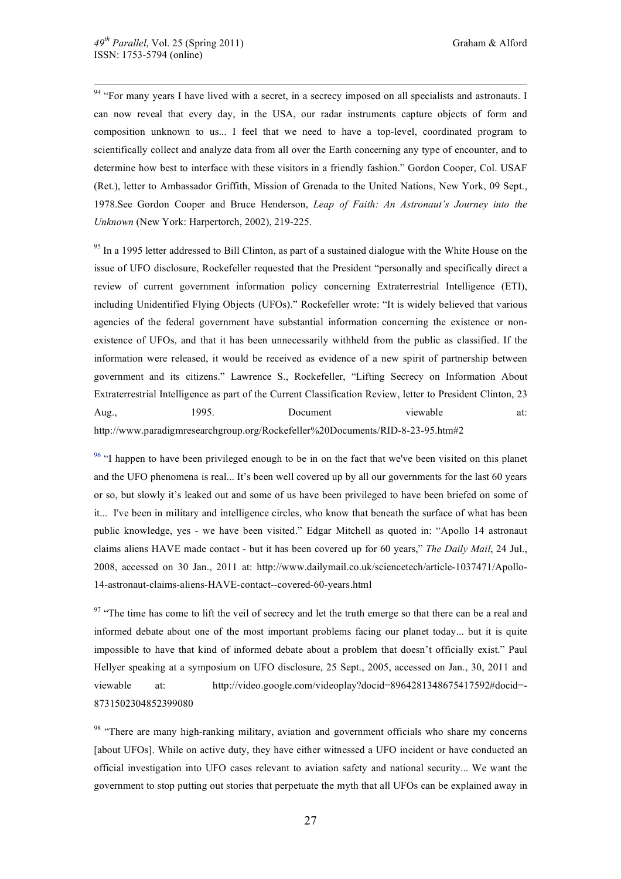<sup>94</sup> "For many years I have lived with a secret, in a secrecy imposed on all specialists and astronauts. I can now reveal that every day, in the USA, our radar instruments capture objects of form and composition unknown to us... I feel that we need to have a top-level, coordinated program to scientifically collect and analyze data from all over the Earth concerning any type of encounter, and to determine how best to interface with these visitors in a friendly fashion." Gordon Cooper, Col. USAF (Ret.), letter to Ambassador Griffith, Mission of Grenada to the United Nations, New York, 09 Sept., 1978.See Gordon Cooper and Bruce Henderson, *Leap of Faith: An Astronaut's Journey into the Unknown* (New York: Harpertorch, 2002), 219-225.

<sup>95</sup> In a 1995 letter addressed to Bill Clinton, as part of a sustained dialogue with the White House on the issue of UFO disclosure, Rockefeller requested that the President "personally and specifically direct a review of current government information policy concerning Extraterrestrial Intelligence (ETI), including Unidentified Flying Objects (UFOs)." Rockefeller wrote: "It is widely believed that various agencies of the federal government have substantial information concerning the existence or nonexistence of UFOs, and that it has been unnecessarily withheld from the public as classified. If the information were released, it would be received as evidence of a new spirit of partnership between government and its citizens." Lawrence S., Rockefeller, "Lifting Secrecy on Information About Extraterrestrial Intelligence as part of the Current Classification Review, letter to President Clinton, 23 Aug., 1995. Document viewable at: http://www.paradigmresearchgroup.org/Rockefeller%20Documents/RID-8-23-95.htm#2

<sup>96</sup> "I happen to have been privileged enough to be in on the fact that we've been visited on this planet and the UFO phenomena is real... It's been well covered up by all our governments for the last 60 years or so, but slowly it's leaked out and some of us have been privileged to have been briefed on some of it... I've been in military and intelligence circles, who know that beneath the surface of what has been public knowledge, yes - we have been visited." Edgar Mitchell as quoted in: "Apollo 14 astronaut claims aliens HAVE made contact - but it has been covered up for 60 years," *The Daily Mail*, 24 Jul., 2008, accessed on 30 Jan., 2011 at: http://www.dailymail.co.uk/sciencetech/article-1037471/Apollo-14-astronaut-claims-aliens-HAVE-contact--covered-60-years.html

 $97$  "The time has come to lift the veil of secrecy and let the truth emerge so that there can be a real and informed debate about one of the most important problems facing our planet today... but it is quite impossible to have that kind of informed debate about a problem that doesn't officially exist." Paul Hellyer speaking at a symposium on UFO disclosure, 25 Sept., 2005, accessed on Jan., 30, 2011 and viewable at: http://video.google.com/videoplay?docid=8964281348675417592#docid=- 8731502304852399080

<sup>98</sup> "There are many high-ranking military, aviation and government officials who share my concerns [about UFOs]. While on active duty, they have either witnessed a UFO incident or have conducted an official investigation into UFO cases relevant to aviation safety and national security... We want the government to stop putting out stories that perpetuate the myth that all UFOs can be explained away in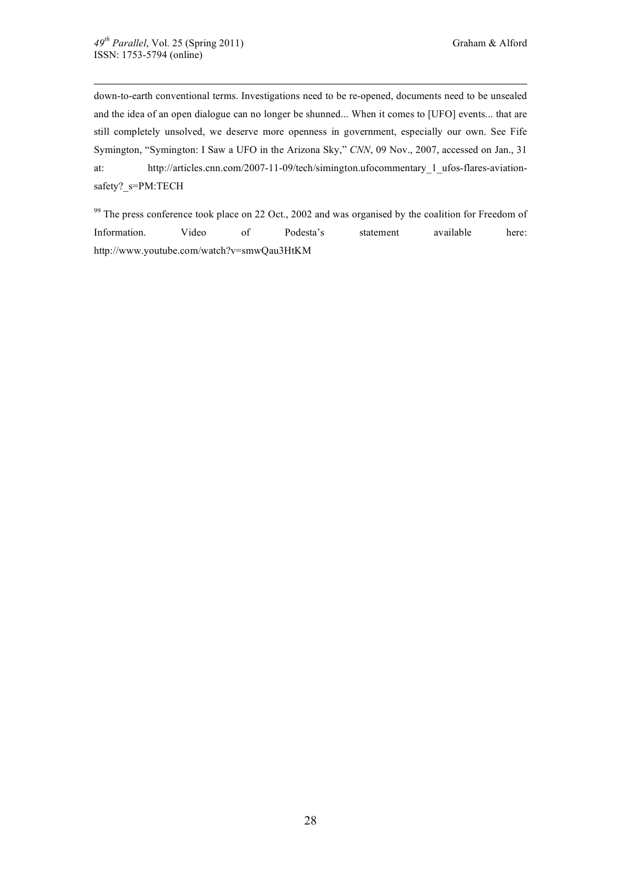down-to-earth conventional terms. Investigations need to be re-opened, documents need to be unsealed and the idea of an open dialogue can no longer be shunned... When it comes to [UFO] events... that are still completely unsolved, we deserve more openness in government, especially our own. See Fife Symington, "Symington: I Saw a UFO in the Arizona Sky," *CNN*, 09 Nov., 2007, accessed on Jan., 31 at: http://articles.cnn.com/2007-11-09/tech/simington.ufocommentary 1 ufos-flares-aviationsafety?\_s=PM:TECH

<sup>99</sup> The press conference took place on 22 Oct., 2002 and was organised by the coalition for Freedom of Information. Video of Podesta's statement available here: http://www.youtube.com/watch?v=smwQau3HtKM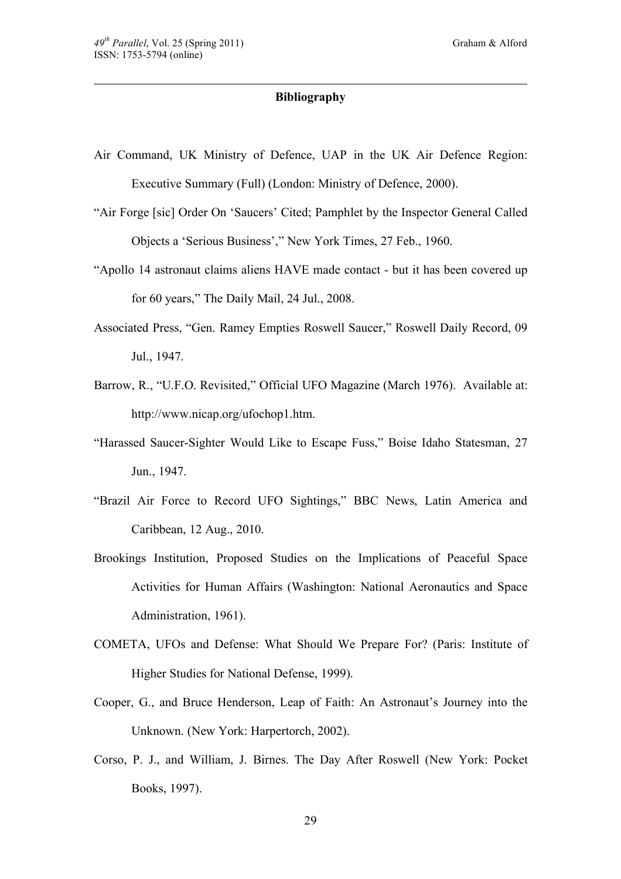## **Bibliography**

- Air Command, UK Ministry of Defence, UAP in the UK Air Defence Region: Executive Summary (Full) (London: Ministry of Defence, 2000).
- "Air Forge [sic] Order On 'Saucers' Cited; Pamphlet by the Inspector General Called Objects a 'Serious Business'," New York Times, 27 Feb., 1960.
- "Apollo 14 astronaut claims aliens HAVE made contact but it has been covered up for 60 years," The Daily Mail, 24 Jul., 2008.
- Associated Press, "Gen. Ramey Empties Roswell Saucer," Roswell Daily Record, 09 Jul., 1947.
- Barrow, R., "U.F.O. Revisited," Official UFO Magazine (March 1976). Available at: http://www.nicap.org/ufochop1.htm.
- "Harassed Saucer-Sighter Would Like to Escape Fuss," Boise Idaho Statesman, 27 Jun., 1947.
- "Brazil Air Force to Record UFO Sightings," BBC News, Latin America and Caribbean, 12 Aug., 2010.
- Brookings Institution, Proposed Studies on the Implications of Peaceful Space Activities for Human Affairs (Washington: National Aeronautics and Space Administration, 1961).
- COMETA, UFOs and Defense: What Should We Prepare For? (Paris: Institute of Higher Studies for National Defense, 1999).
- Cooper, G., and Bruce Henderson, Leap of Faith: An Astronaut's Journey into the Unknown. (New York: Harpertorch, 2002).
- Corso, P. J., and William, J. Birnes. The Day After Roswell (New York: Pocket Books, 1997).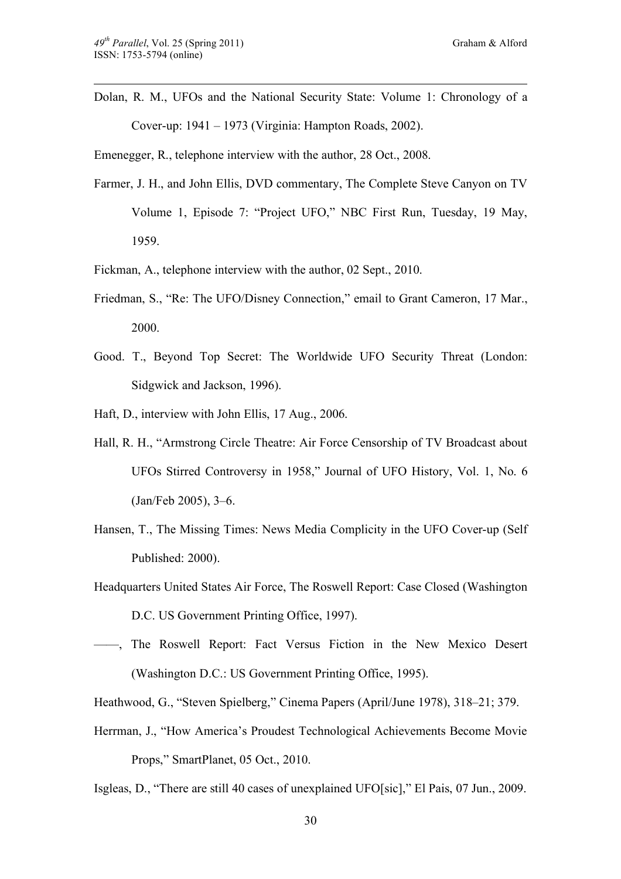Dolan, R. M., UFOs and the National Security State: Volume 1: Chronology of a Cover-up: 1941 – 1973 (Virginia: Hampton Roads, 2002).

Emenegger, R., telephone interview with the author, 28 Oct., 2008.

- Farmer, J. H., and John Ellis, DVD commentary, The Complete Steve Canyon on TV Volume 1, Episode 7: "Project UFO," NBC First Run, Tuesday, 19 May, 1959.
- Fickman, A., telephone interview with the author, 02 Sept., 2010.
- Friedman, S., "Re: The UFO/Disney Connection," email to Grant Cameron, 17 Mar., 2000.
- Good. T., Beyond Top Secret: The Worldwide UFO Security Threat (London: Sidgwick and Jackson, 1996).
- Haft, D., interview with John Ellis, 17 Aug., 2006.
- Hall, R. H., "Armstrong Circle Theatre: Air Force Censorship of TV Broadcast about UFOs Stirred Controversy in 1958," Journal of UFO History, Vol. 1, No. 6 (Jan/Feb 2005), 3–6.
- Hansen, T., The Missing Times: News Media Complicity in the UFO Cover-up (Self Published: 2000).
- Headquarters United States Air Force, The Roswell Report: Case Closed (Washington D.C. US Government Printing Office, 1997).
- ——, The Roswell Report: Fact Versus Fiction in the New Mexico Desert (Washington D.C.: US Government Printing Office, 1995).

Heathwood, G., "Steven Spielberg," Cinema Papers (April/June 1978), 318–21; 379.

Herrman, J., "How America's Proudest Technological Achievements Become Movie Props," SmartPlanet, 05 Oct., 2010.

Isgleas, D., "There are still 40 cases of unexplained UFO[sic]," El Pais, 07 Jun., 2009.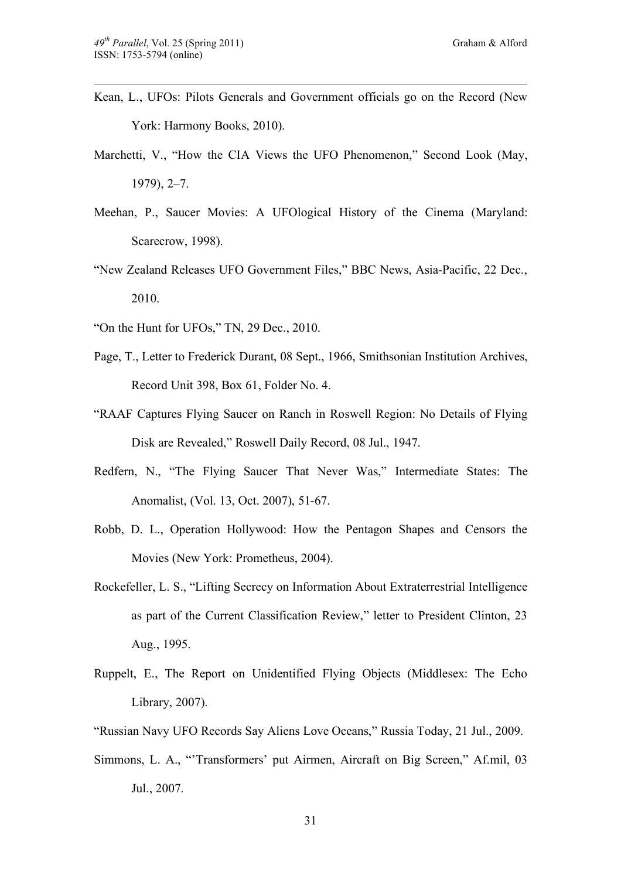- Kean, L., UFOs: Pilots Generals and Government officials go on the Record (New York: Harmony Books, 2010).
- Marchetti, V., "How the CIA Views the UFO Phenomenon," Second Look (May, 1979), 2–7.
- Meehan, P., Saucer Movies: A UFOlogical History of the Cinema (Maryland: Scarecrow, 1998).
- "New Zealand Releases UFO Government Files," BBC News, Asia-Pacific, 22 Dec., 2010.
- "On the Hunt for UFOs," TN, 29 Dec., 2010.
- Page, T., Letter to Frederick Durant, 08 Sept., 1966, Smithsonian Institution Archives, Record Unit 398, Box 61, Folder No. 4.
- "RAAF Captures Flying Saucer on Ranch in Roswell Region: No Details of Flying Disk are Revealed," Roswell Daily Record, 08 Jul., 1947.
- Redfern, N., "The Flying Saucer That Never Was," Intermediate States: The Anomalist, (Vol. 13, Oct. 2007), 51-67.
- Robb, D. L., Operation Hollywood: How the Pentagon Shapes and Censors the Movies (New York: Prometheus, 2004).
- Rockefeller, L. S., "Lifting Secrecy on Information About Extraterrestrial Intelligence as part of the Current Classification Review," letter to President Clinton, 23 Aug., 1995.
- Ruppelt, E., The Report on Unidentified Flying Objects (Middlesex: The Echo Library, 2007).
- "Russian Navy UFO Records Say Aliens Love Oceans," Russia Today, 21 Jul., 2009.
- Simmons, L. A., "'Transformers' put Airmen, Aircraft on Big Screen," Af.mil, 03 Jul., 2007.